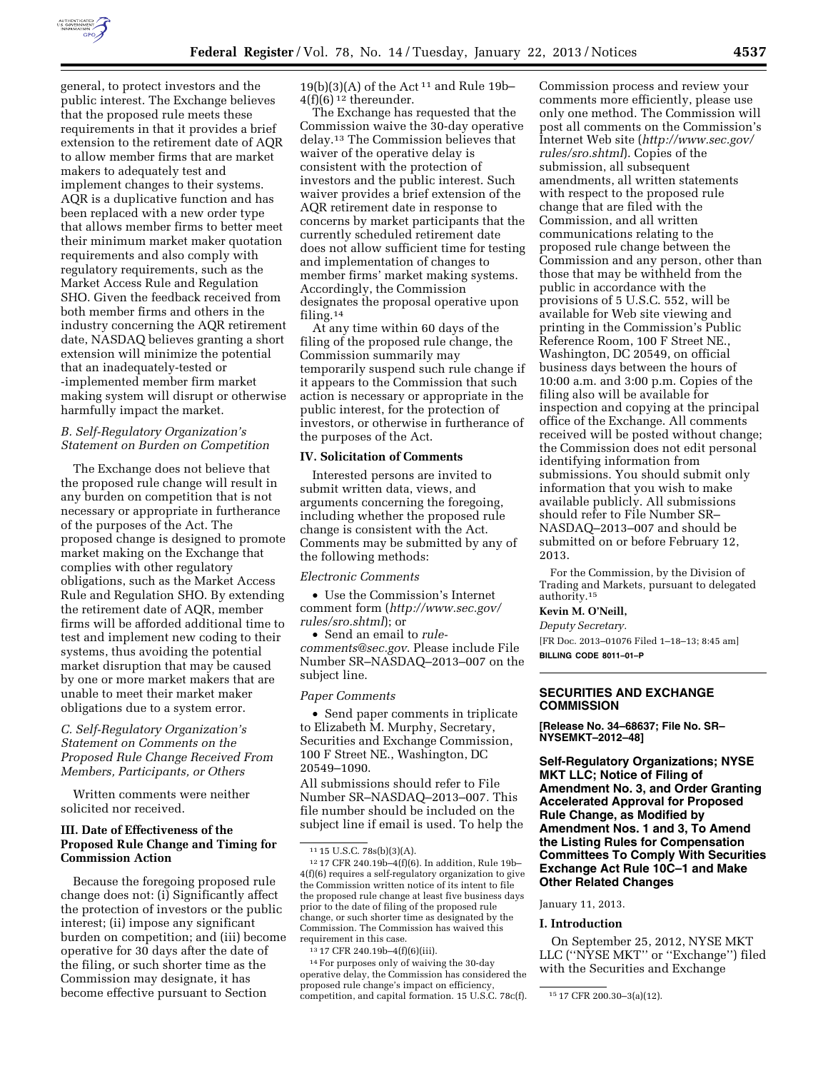

general, to protect investors and the public interest. The Exchange believes that the proposed rule meets these requirements in that it provides a brief extension to the retirement date of AQR to allow member firms that are market makers to adequately test and implement changes to their systems. AQR is a duplicative function and has been replaced with a new order type that allows member firms to better meet their minimum market maker quotation requirements and also comply with regulatory requirements, such as the Market Access Rule and Regulation SHO. Given the feedback received from both member firms and others in the industry concerning the AQR retirement date, NASDAQ believes granting a short extension will minimize the potential that an inadequately-tested or -implemented member firm market making system will disrupt or otherwise harmfully impact the market.

## *B. Self-Regulatory Organization's Statement on Burden on Competition*

The Exchange does not believe that the proposed rule change will result in any burden on competition that is not necessary or appropriate in furtherance of the purposes of the Act. The proposed change is designed to promote market making on the Exchange that complies with other regulatory obligations, such as the Market Access Rule and Regulation SHO. By extending the retirement date of AQR, member firms will be afforded additional time to test and implement new coding to their systems, thus avoiding the potential market disruption that may be caused by one or more market makers that are unable to meet their market maker obligations due to a system error.

# *C. Self-Regulatory Organization's Statement on Comments on the Proposed Rule Change Received From Members, Participants, or Others*

Written comments were neither solicited nor received.

# **III. Date of Effectiveness of the Proposed Rule Change and Timing for Commission Action**

Because the foregoing proposed rule change does not: (i) Significantly affect the protection of investors or the public interest; (ii) impose any significant burden on competition; and (iii) become operative for 30 days after the date of the filing, or such shorter time as the Commission may designate, it has become effective pursuant to Section

19(b)(3)(A) of the Act<sup>11</sup> and Rule 19b-4(f)(6) 12 thereunder.

The Exchange has requested that the Commission waive the 30-day operative delay.13 The Commission believes that waiver of the operative delay is consistent with the protection of investors and the public interest. Such waiver provides a brief extension of the AQR retirement date in response to concerns by market participants that the currently scheduled retirement date does not allow sufficient time for testing and implementation of changes to member firms' market making systems. Accordingly, the Commission designates the proposal operative upon filing.14

At any time within 60 days of the filing of the proposed rule change, the Commission summarily may temporarily suspend such rule change if it appears to the Commission that such action is necessary or appropriate in the public interest, for the protection of investors, or otherwise in furtherance of the purposes of the Act.

#### **IV. Solicitation of Comments**

Interested persons are invited to submit written data, views, and arguments concerning the foregoing, including whether the proposed rule change is consistent with the Act. Comments may be submitted by any of the following methods:

#### *Electronic Comments*

• Use the Commission's Internet comment form (*[http://www.sec.gov/](http://www.sec.gov/rules/sro.shtml)  [rules/sro.shtml](http://www.sec.gov/rules/sro.shtml)*); or

• Send an email to *[rule](mailto:rule-comments@sec.gov)[comments@sec.gov](mailto:rule-comments@sec.gov)*. Please include File Number SR–NASDAQ–2013–007 on the subject line.

#### *Paper Comments*

• Send paper comments in triplicate to Elizabeth M. Murphy, Secretary, Securities and Exchange Commission, 100 F Street NE., Washington, DC 20549–1090.

All submissions should refer to File Number SR–NASDAQ–2013–007*.* This file number should be included on the subject line if email is used. To help the

13 17 CFR 240.19b–4(f)(6)(iii).

14For purposes only of waiving the 30-day operative delay, the Commission has considered the proposed rule change's impact on efficiency, competition, and capital formation. 15 U.S.C. 78c(f).  $15 \text{ } 17 \text{ CFR } 200.30 - 3(a)(12)$ .

Commission process and review your comments more efficiently, please use only one method. The Commission will post all comments on the Commission's Internet Web site (*[http://www.sec.gov/](http://www.sec.gov/rules/sro.shtml)  [rules/sro.shtml](http://www.sec.gov/rules/sro.shtml)*). Copies of the submission, all subsequent amendments, all written statements with respect to the proposed rule change that are filed with the Commission, and all written communications relating to the proposed rule change between the Commission and any person, other than those that may be withheld from the public in accordance with the provisions of 5 U.S.C. 552, will be available for Web site viewing and printing in the Commission's Public Reference Room, 100 F Street NE., Washington, DC 20549, on official business days between the hours of 10:00 a.m. and 3:00 p.m. Copies of the filing also will be available for inspection and copying at the principal office of the Exchange. All comments received will be posted without change; the Commission does not edit personal identifying information from submissions. You should submit only information that you wish to make available publicly. All submissions should refer to File Number SR– NASDAQ–2013–007 and should be submitted on or before February 12, 2013.

For the Commission, by the Division of Trading and Markets, pursuant to delegated authority.15

# **Kevin M. O'Neill,**

*Deputy Secretary.* 

[FR Doc. 2013–01076 Filed 1–18–13; 8:45 am] **BILLING CODE 8011–01–P** 

## **SECURITIES AND EXCHANGE COMMISSION**

**[Release No. 34–68637; File No. SR– NYSEMKT–2012–48]** 

**Self-Regulatory Organizations; NYSE MKT LLC; Notice of Filing of Amendment No. 3, and Order Granting Accelerated Approval for Proposed Rule Change, as Modified by Amendment Nos. 1 and 3, To Amend the Listing Rules for Compensation Committees To Comply With Securities Exchange Act Rule 10C–1 and Make Other Related Changes** 

January 11, 2013.

#### **I. Introduction**

On September 25, 2012, NYSE MKT LLC (''NYSE MKT'' or ''Exchange'') filed with the Securities and Exchange

<sup>11</sup> 15 U.S.C. 78s(b)(3)(A).

<sup>12</sup> 17 CFR 240.19b–4(f)(6). In addition, Rule 19b– 4(f)(6) requires a self-regulatory organization to give the Commission written notice of its intent to file the proposed rule change at least five business days prior to the date of filing of the proposed rule change, or such shorter time as designated by the Commission. The Commission has waived this requirement in this case.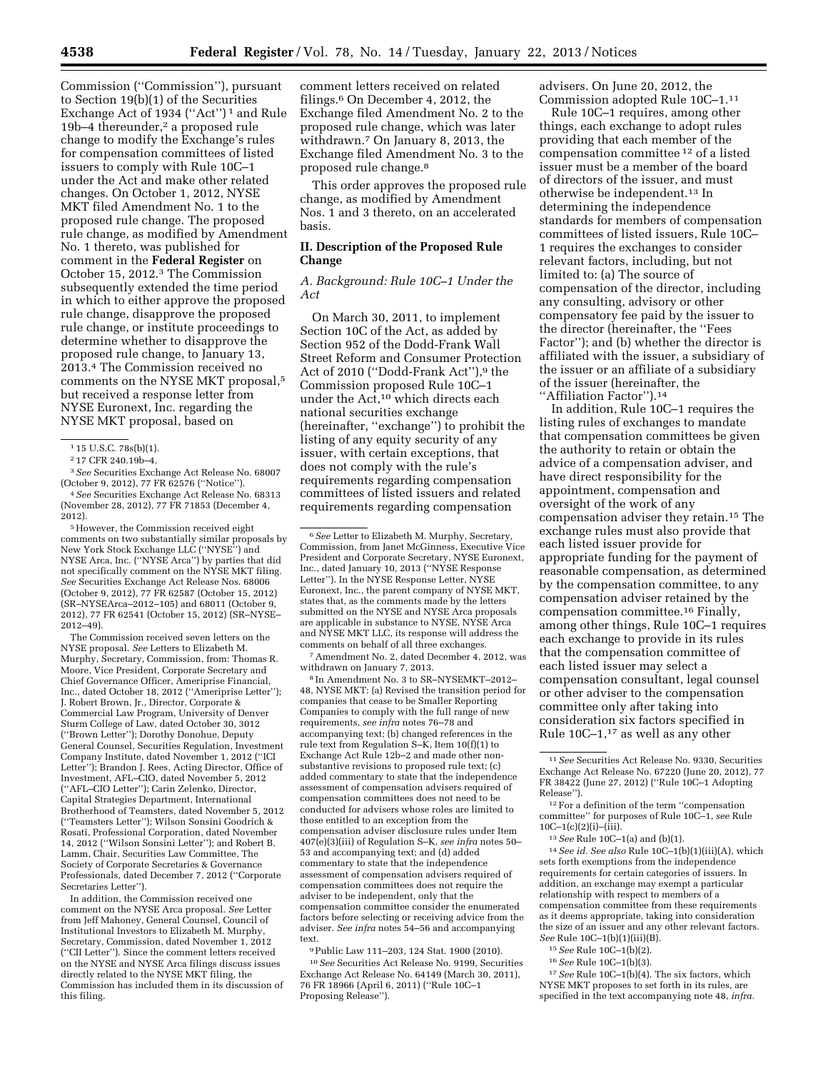Commission (''Commission''), pursuant to Section 19(b)(1) of the Securities Exchange Act of 1934 ("Act")<sup>1</sup> and Rule 19b–4 thereunder,<sup>2</sup> a proposed rule change to modify the Exchange's rules for compensation committees of listed issuers to comply with Rule 10C–1 under the Act and make other related changes. On October 1, 2012, NYSE MKT filed Amendment No. 1 to the proposed rule change. The proposed rule change, as modified by Amendment No. 1 thereto, was published for comment in the **Federal Register** on October 15, 2012.3 The Commission subsequently extended the time period in which to either approve the proposed rule change, disapprove the proposed rule change, or institute proceedings to determine whether to disapprove the proposed rule change, to January 13, 2013.4 The Commission received no comments on the NYSE MKT proposal,5 but received a response letter from NYSE Euronext, Inc. regarding the NYSE MKT proposal, based on

5However, the Commission received eight comments on two substantially similar proposals by New York Stock Exchange LLC (''NYSE'') and NYSE Arca, Inc. (''NYSE Arca'') by parties that did not specifically comment on the NYSE MKT filing. *See* Securities Exchange Act Release Nos. 68006 (October 9, 2012), 77 FR 62587 (October 15, 2012) (SR–NYSEArca–2012–105) and 68011 (October 9, 2012), 77 FR 62541 (October 15, 2012) (SR–NYSE– 2012–49).

The Commission received seven letters on the NYSE proposal. *See* Letters to Elizabeth M. Murphy, Secretary, Commission, from: Thomas R. Moore, Vice President, Corporate Secretary and Chief Governance Officer, Ameriprise Financial, Inc., dated October 18, 2012 (''Ameriprise Letter''); J. Robert Brown, Jr., Director, Corporate & Commercial Law Program, University of Denver Sturm College of Law, dated October 30, 3012 (''Brown Letter''); Dorothy Donohue, Deputy General Counsel, Securities Regulation, Investment Company Institute, dated November 1, 2012 (''ICI Letter''); Brandon J. Rees, Acting Director, Office of Investment, AFL–CIO, dated November 5, 2012 (''AFL–CIO Letter''); Carin Zelenko, Director, Capital Strategies Department, International Brotherhood of Teamsters, dated November 5, 2012 (''Teamsters Letter''); Wilson Sonsini Goodrich & Rosati, Professional Corporation, dated November 14, 2012 (''Wilson Sonsini Letter''); and Robert B. Lamm, Chair, Securities Law Committee, The Society of Corporate Secretaries & Governance Professionals, dated December 7, 2012 (''Corporate Secretaries Letter'').

In addition, the Commission received one comment on the NYSE Arca proposal. *See* Letter from Jeff Mahoney, General Counsel, Council of Institutional Investors to Elizabeth M. Murphy, Secretary, Commission, dated November 1, 2012 (''CII Letter''). Since the comment letters received on the NYSE and NYSE Arca filings discuss issues directly related to the NYSE MKT filing, the Commission has included them in its discussion of this filing.

comment letters received on related filings.6 On December 4, 2012, the Exchange filed Amendment No. 2 to the proposed rule change, which was later withdrawn.7 On January 8, 2013, the Exchange filed Amendment No. 3 to the proposed rule change.8

This order approves the proposed rule change, as modified by Amendment Nos. 1 and 3 thereto, on an accelerated basis.

## **II. Description of the Proposed Rule Change**

#### *A. Background: Rule 10C–1 Under the Act*

On March 30, 2011, to implement Section 10C of the Act, as added by Section 952 of the Dodd-Frank Wall Street Reform and Consumer Protection Act of 2010 ("Dodd-Frank Act"),<sup>9</sup> the Commission proposed Rule 10C–1 under the Act,10 which directs each national securities exchange (hereinafter, ''exchange'') to prohibit the listing of any equity security of any issuer, with certain exceptions, that does not comply with the rule's requirements regarding compensation committees of listed issuers and related requirements regarding compensation

7Amendment No. 2, dated December 4, 2012, was withdrawn on January 7, 2013.

8 In Amendment No. 3 to SR–NYSEMKT–2012– 48, NYSE MKT: (a) Revised the transition period for companies that cease to be Smaller Reporting Companies to comply with the full range of new requirements, *see infra* notes 76–78 and accompanying text; (b) changed references in the rule text from Regulation S–K, Item 10(f)(1) to Exchange Act Rule 12b–2 and made other nonsubstantive revisions to proposed rule text; (c) added commentary to state that the independence assessment of compensation advisers required of compensation committees does not need to be conducted for advisers whose roles are limited to those entitled to an exception from the compensation adviser disclosure rules under Item 407(e)(3)(iii) of Regulation S–K, *see infra* notes 50– 53 and accompanying text; and (d) added commentary to state that the independence assessment of compensation advisers required of compensation committees does not require the adviser to be independent, only that the compensation committee consider the enumerated factors before selecting or receiving advice from the adviser. *See infra* notes 54–56 and accompanying text.

9Public Law 111–203, 124 Stat. 1900 (2010). 10*See* Securities Act Release No. 9199, Securities Exchange Act Release No. 64149 (March 30, 2011), 76 FR 18966 (April 6, 2011) (''Rule 10C–1 Proposing Release'').

advisers. On June 20, 2012, the Commission adopted Rule 10C–1.11

Rule 10C–1 requires, among other things, each exchange to adopt rules providing that each member of the compensation committee 12 of a listed issuer must be a member of the board of directors of the issuer, and must otherwise be independent.13 In determining the independence standards for members of compensation committees of listed issuers, Rule 10C– 1 requires the exchanges to consider relevant factors, including, but not limited to: (a) The source of compensation of the director, including any consulting, advisory or other compensatory fee paid by the issuer to the director (hereinafter, the ''Fees Factor''); and (b) whether the director is affiliated with the issuer, a subsidiary of the issuer or an affiliate of a subsidiary of the issuer (hereinafter, the ''Affiliation Factor'').14

In addition, Rule 10C–1 requires the listing rules of exchanges to mandate that compensation committees be given the authority to retain or obtain the advice of a compensation adviser, and have direct responsibility for the appointment, compensation and oversight of the work of any compensation adviser they retain.15 The exchange rules must also provide that each listed issuer provide for appropriate funding for the payment of reasonable compensation, as determined by the compensation committee, to any compensation adviser retained by the compensation committee.16 Finally, among other things, Rule 10C–1 requires each exchange to provide in its rules that the compensation committee of each listed issuer may select a compensation consultant, legal counsel or other adviser to the compensation committee only after taking into consideration six factors specified in Rule  $10C-1$ ,<sup>17</sup> as well as any other

12For a definition of the term ''compensation committee'' for purposes of Rule 10C–1, *see* Rule 10C–1(c)(2)(i)–(iii).

13*See* Rule 10C–1(a) and (b)(1).

14*See id. See also* Rule 10C–1(b)(1)(iii)(A), which sets forth exemptions from the independence requirements for certain categories of issuers. In addition, an exchange may exempt a particular relationship with respect to members of a compensation committee from these requirements as it deems appropriate, taking into consideration the size of an issuer and any other relevant factors. *See* Rule 10C–1(b)(1)(iii)(B).

- 15*See* Rule 10C–1(b)(2).
- 16*See* Rule 10C–1(b)(3).

17*See* Rule 10C–1(b)(4). The six factors, which NYSE MKT proposes to set forth in its rules, are specified in the text accompanying note 48, *infra.* 

<sup>1</sup> 15 U.S.C. 78s(b)(1).

<sup>2</sup> 17 CFR 240.19b–4.

<sup>3</sup>*See* Securities Exchange Act Release No. 68007 (October 9, 2012), 77 FR 62576 (''Notice'').

<sup>4</sup>*See* Securities Exchange Act Release No. 68313 (November 28, 2012), 77 FR 71853 (December 4, 2012).

<sup>6</sup>*See* Letter to Elizabeth M. Murphy, Secretary, Commission, from Janet McGinness, Executive Vice President and Corporate Secretary, NYSE Euronext, Inc., dated January 10, 2013 (''NYSE Response Letter''). In the NYSE Response Letter, NYSE Euronext, Inc., the parent company of NYSE MKT, states that, as the comments made by the letters submitted on the NYSE and NYSE Arca proposals are applicable in substance to NYSE, NYSE Arca and NYSE MKT LLC, its response will address the comments on behalf of all three exchanges.

<sup>11</sup>*See* Securities Act Release No. 9330, Securities Exchange Act Release No. 67220 (June 20, 2012), 77 FR 38422 (June 27, 2012) (''Rule 10C–1 Adopting Release'').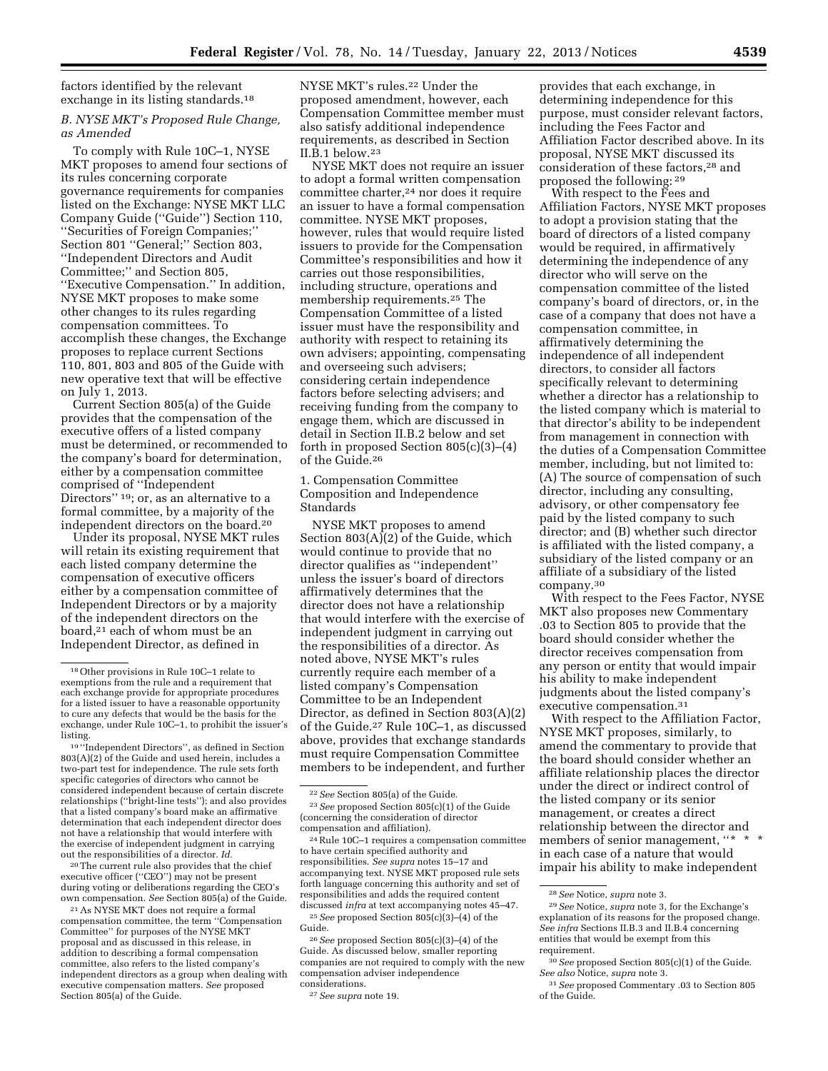factors identified by the relevant exchange in its listing standards.<sup>18</sup>

## *B. NYSE MKT's Proposed Rule Change, as Amended*

To comply with Rule 10C–1, NYSE MKT proposes to amend four sections of its rules concerning corporate governance requirements for companies listed on the Exchange: NYSE MKT LLC Company Guide (''Guide'') Section 110, ''Securities of Foreign Companies;'' Section 801 ''General;'' Section 803, ''Independent Directors and Audit Committee;'' and Section 805, ''Executive Compensation.'' In addition, NYSE MKT proposes to make some other changes to its rules regarding compensation committees. To accomplish these changes, the Exchange proposes to replace current Sections 110, 801, 803 and 805 of the Guide with new operative text that will be effective on July 1, 2013.

Current Section 805(a) of the Guide provides that the compensation of the executive offers of a listed company must be determined, or recommended to the company's board for determination, either by a compensation committee comprised of ''Independent Directors"<sup>19</sup>; or, as an alternative to a formal committee, by a majority of the independent directors on the board.20

Under its proposal, NYSE MKT rules will retain its existing requirement that each listed company determine the compensation of executive officers either by a compensation committee of Independent Directors or by a majority of the independent directors on the board,21 each of whom must be an Independent Director, as defined in

19 ''Independent Directors'', as defined in Section 803(A)(2) of the Guide and used herein, includes a two-part test for independence. The rule sets forth specific categories of directors who cannot be considered independent because of certain discrete relationships (''bright-line tests''); and also provides that a listed company's board make an affirmative determination that each independent director does not have a relationship that would interfere with the exercise of independent judgment in carrying out the responsibilities of a director. *Id.* 

20The current rule also provides that the chief executive officer (''CEO'') may not be present during voting or deliberations regarding the CEO's own compensation. *See* Section 805(a) of the Guide.

21As NYSE MKT does not require a formal compensation committee, the term ''Compensation Committee'' for purposes of the NYSE MKT proposal and as discussed in this release, in addition to describing a formal compensation committee, also refers to the listed company's independent directors as a group when dealing with executive compensation matters. *See* proposed Section 805(a) of the Guide.

NYSE MKT's rules.22 Under the proposed amendment, however, each Compensation Committee member must also satisfy additional independence requirements, as described in Section II.B.1 below.23

NYSE MKT does not require an issuer to adopt a formal written compensation committee charter,24 nor does it require an issuer to have a formal compensation committee. NYSE MKT proposes, however, rules that would require listed issuers to provide for the Compensation Committee's responsibilities and how it carries out those responsibilities, including structure, operations and membership requirements.25 The Compensation Committee of a listed issuer must have the responsibility and authority with respect to retaining its own advisers; appointing, compensating and overseeing such advisers; considering certain independence factors before selecting advisers; and receiving funding from the company to engage them, which are discussed in detail in Section II.B.2 below and set forth in proposed Section 805(c)(3)–(4) of the Guide.26

1. Compensation Committee Composition and Independence Standards

NYSE MKT proposes to amend Section 803(A)(2) of the Guide, which would continue to provide that no director qualifies as ''independent'' unless the issuer's board of directors affirmatively determines that the director does not have a relationship that would interfere with the exercise of independent judgment in carrying out the responsibilities of a director. As noted above, NYSE MKT's rules currently require each member of a listed company's Compensation Committee to be an Independent Director, as defined in Section 803(A)(2) of the Guide.27 Rule 10C–1, as discussed above, provides that exchange standards must require Compensation Committee members to be independent, and further

24Rule 10C–1 requires a compensation committee to have certain specified authority and responsibilities. *See supra* notes 15–17 and accompanying text. NYSE MKT proposed rule sets forth language concerning this authority and set of responsibilities and adds the required content discussed *infra* at text accompanying notes 45–47. 25*See* proposed Section 805(c)(3)–(4) of the

26*See* proposed Section 805(c)(3)–(4) of the Guide. As discussed below, smaller reporting companies are not required to comply with the new compensation adviser independence considerations.

provides that each exchange, in determining independence for this purpose, must consider relevant factors, including the Fees Factor and Affiliation Factor described above. In its proposal, NYSE MKT discussed its consideration of these factors,28 and proposed the following: 29

With respect to the Fees and Affiliation Factors, NYSE MKT proposes to adopt a provision stating that the board of directors of a listed company would be required, in affirmatively determining the independence of any director who will serve on the compensation committee of the listed company's board of directors, or, in the case of a company that does not have a compensation committee, in affirmatively determining the independence of all independent directors, to consider all factors specifically relevant to determining whether a director has a relationship to the listed company which is material to that director's ability to be independent from management in connection with the duties of a Compensation Committee member, including, but not limited to: (A) The source of compensation of such director, including any consulting, advisory, or other compensatory fee paid by the listed company to such director; and (B) whether such director is affiliated with the listed company, a subsidiary of the listed company or an affiliate of a subsidiary of the listed company.30

With respect to the Fees Factor, NYSE MKT also proposes new Commentary .03 to Section 805 to provide that the board should consider whether the director receives compensation from any person or entity that would impair his ability to make independent judgments about the listed company's executive compensation.31

With respect to the Affiliation Factor, NYSE MKT proposes, similarly, to amend the commentary to provide that the board should consider whether an affiliate relationship places the director under the direct or indirect control of the listed company or its senior management, or creates a direct relationship between the director and members of senior management,  $\lq\lq\lq$ in each case of a nature that would impair his ability to make independent

<sup>18</sup>Other provisions in Rule 10C–1 relate to exemptions from the rule and a requirement that each exchange provide for appropriate procedures for a listed issuer to have a reasonable opportunity to cure any defects that would be the basis for the exchange, under Rule 10C–1, to prohibit the issuer's listing.

<sup>22</sup>*See* Section 805(a) of the Guide. 23*See* proposed Section 805(c)(1) of the Guide (concerning the consideration of director compensation and affiliation).

Guide.

<sup>27</sup>*See supra* note 19.

<sup>28</sup>*See* Notice, *supra* note 3.

<sup>29</sup>*See* Notice, *supra* note 3, for the Exchange's explanation of its reasons for the proposed change. *See infra* Sections II.B.3 and II.B.4 concerning entities that would be exempt from this requirement.

<sup>30</sup>*See* proposed Section 805(c)(1) of the Guide. *See also* Notice, *supra* note 3.

<sup>31</sup>*See* proposed Commentary .03 to Section 805 of the Guide.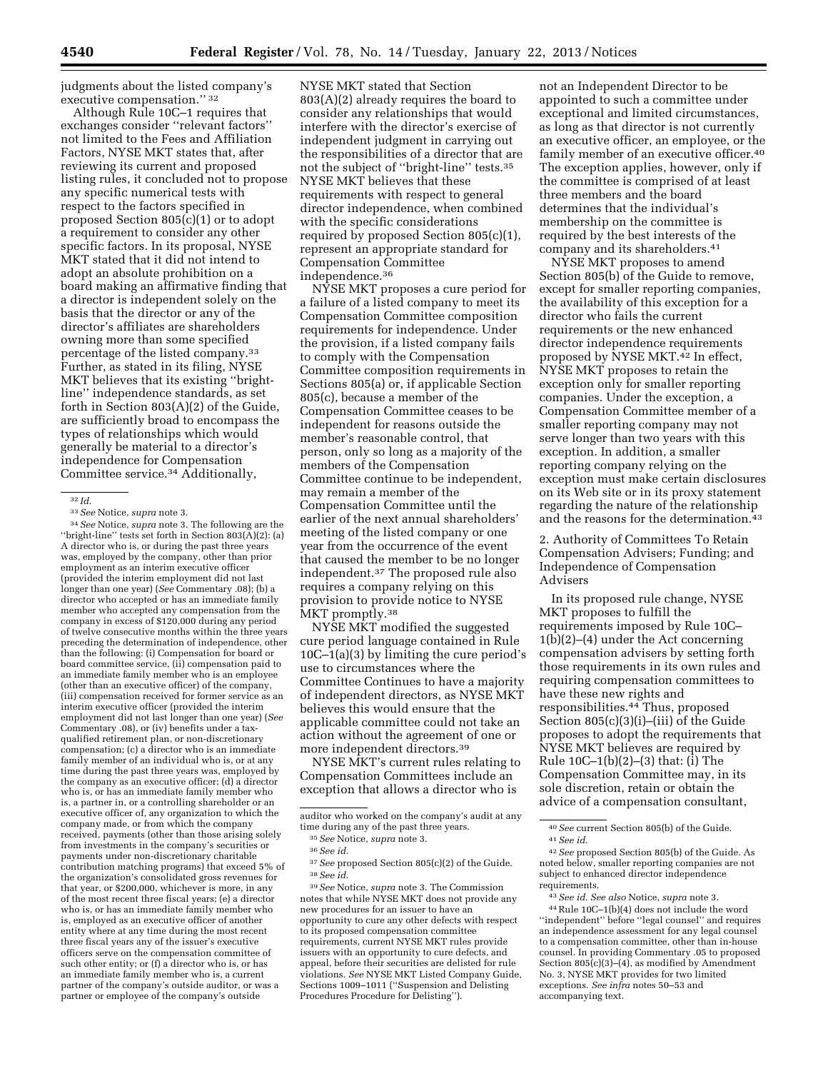judgments about the listed company's executive compensation.'' 32

Although Rule 10C–1 requires that exchanges consider ''relevant factors'' not limited to the Fees and Affiliation Factors, NYSE MKT states that, after reviewing its current and proposed listing rules, it concluded not to propose any specific numerical tests with respect to the factors specified in proposed Section 805(c)(1) or to adopt a requirement to consider any other specific factors. In its proposal, NYSE MKT stated that it did not intend to adopt an absolute prohibition on a board making an affirmative finding that a director is independent solely on the basis that the director or any of the director's affiliates are shareholders owning more than some specified percentage of the listed company.33 Further, as stated in its filing, NYSE MKT believes that its existing ''brightline'' independence standards, as set forth in Section 803(A)(2) of the Guide, are sufficiently broad to encompass the types of relationships which would generally be material to a director's independence for Compensation Committee service.34 Additionally,

34*See* Notice, *supra* note 3. The following are the ''bright-line'' tests set forth in Section 803(A)(2): (a) A director who is, or during the past three years was, employed by the company, other than prior employment as an interim executive officer (provided the interim employment did not last longer than one year) (*See* Commentary .08); (b) a director who accepted or has an immediate family member who accepted any compensation from the company in excess of \$120,000 during any period of twelve consecutive months within the three years preceding the determination of independence, other than the following: (i) Compensation for board or board committee service, (ii) compensation paid to an immediate family member who is an employee (other than an executive officer) of the company, (iii) compensation received for former service as an interim executive officer (provided the interim employment did not last longer than one year) (See Commentary .08), or (iv) benefits under a taxqualified retirement plan, or non-discretionary compensation; (c) a director who is an immediate family member of an individual who is, or at any time during the past three years was, employed by the company as an executive officer; (d) a director who is, or has an immediate family member who is, a partner in, or a controlling shareholder or an executive officer of, any organization to which the company made, or from which the company received, payments (other than those arising solely from investments in the company's securities or payments under non-discretionary charitable contribution matching programs) that exceed 5% of the organization's consolidated gross revenues for that year, or \$200,000, whichever is more, in any of the most recent three fiscal years; (e) a director who is, or has an immediate family member who is, employed as an executive officer of another entity where at any time during the most recent three fiscal years any of the issuer's executive officers serve on the compensation committee of such other entity; or (f) a director who is, or has an immediate family member who is, a current partner of the company's outside auditor, or was a partner or employee of the company's outside

NYSE MKT stated that Section 803(A)(2) already requires the board to consider any relationships that would interfere with the director's exercise of independent judgment in carrying out the responsibilities of a director that are not the subject of "bright-line" tests.<sup>35</sup> NYSE MKT believes that these requirements with respect to general director independence, when combined with the specific considerations required by proposed Section 805(c)(1), represent an appropriate standard for Compensation Committee independence.36

NYSE MKT proposes a cure period for a failure of a listed company to meet its Compensation Committee composition requirements for independence. Under the provision, if a listed company fails to comply with the Compensation Committee composition requirements in Sections 805(a) or, if applicable Section 805(c), because a member of the Compensation Committee ceases to be independent for reasons outside the member's reasonable control, that person, only so long as a majority of the members of the Compensation Committee continue to be independent, may remain a member of the Compensation Committee until the earlier of the next annual shareholders' meeting of the listed company or one year from the occurrence of the event that caused the member to be no longer independent.37 The proposed rule also requires a company relying on this provision to provide notice to NYSE MKT promptly.38

NYSE MKT modified the suggested cure period language contained in Rule 10C–1(a)(3) by limiting the cure period's use to circumstances where the Committee Continues to have a majority of independent directors, as NYSE MKT believes this would ensure that the applicable committee could not take an action without the agreement of one or more independent directors.39

NYSE MKT's current rules relating to Compensation Committees include an exception that allows a director who is

39*See* Notice, *supra* note 3. The Commission notes that while NYSE MKT does not provide any new procedures for an issuer to have an opportunity to cure any other defects with respect to its proposed compensation committee requirements, current NYSE MKT rules provide issuers with an opportunity to cure defects, and appeal, before their securities are delisted for rule violations. *See* NYSE MKT Listed Company Guide, Sections 1009–1011 (''Suspension and Delisting Procedures Procedure for Delisting'').

not an Independent Director to be appointed to such a committee under exceptional and limited circumstances, as long as that director is not currently an executive officer, an employee, or the family member of an executive officer.<sup>40</sup> The exception applies, however, only if the committee is comprised of at least three members and the board determines that the individual's membership on the committee is required by the best interests of the company and its shareholders.41

NYSE MKT proposes to amend Section 805(b) of the Guide to remove, except for smaller reporting companies, the availability of this exception for a director who fails the current requirements or the new enhanced director independence requirements proposed by NYSE MKT.42 In effect, NYSE MKT proposes to retain the exception only for smaller reporting companies. Under the exception, a Compensation Committee member of a smaller reporting company may not serve longer than two years with this exception. In addition, a smaller reporting company relying on the exception must make certain disclosures on its Web site or in its proxy statement regarding the nature of the relationship and the reasons for the determination.<sup>43</sup>

2. Authority of Committees To Retain Compensation Advisers; Funding; and Independence of Compensation Advisers

In its proposed rule change, NYSE MKT proposes to fulfill the requirements imposed by Rule 10C– 1(b)(2)–(4) under the Act concerning compensation advisers by setting forth those requirements in its own rules and requiring compensation committees to have these new rights and responsibilities.44 Thus, proposed Section 805(c)(3)(i)–(iii) of the Guide proposes to adopt the requirements that NYSE MKT believes are required by Rule 10C–1(b)(2)–(3) that: (i) The Compensation Committee may, in its sole discretion, retain or obtain the advice of a compensation consultant,

<sup>32</sup> *Id.* 

<sup>33</sup>*See* Notice, *supra* note 3.

auditor who worked on the company's audit at any time during any of the past three years.

<sup>35</sup>*See* Notice, *supra* note 3.

<sup>36</sup>*See id.* 

<sup>37</sup>*See* proposed Section 805(c)(2) of the Guide. 38*See id.* 

<sup>40</sup>*See* current Section 805(b) of the Guide. 41*See id.* 

<sup>42</sup>*See* proposed Section 805(b) of the Guide. As noted below, smaller reporting companies are not subject to enhanced director independence requirements.

<sup>43</sup>*See id. See also* Notice, *supra* note 3.

<sup>44</sup>Rule 10C–1(b)(4) does not include the word ''independent'' before ''legal counsel'' and requires an independence assessment for any legal counsel to a compensation committee, other than in-house counsel. In providing Commentary .05 to proposed Section 805(c)(3)–(4), as modified by Amendment No. 3, NYSE MKT provides for two limited exceptions. *See infra* notes 50–53 and accompanying text.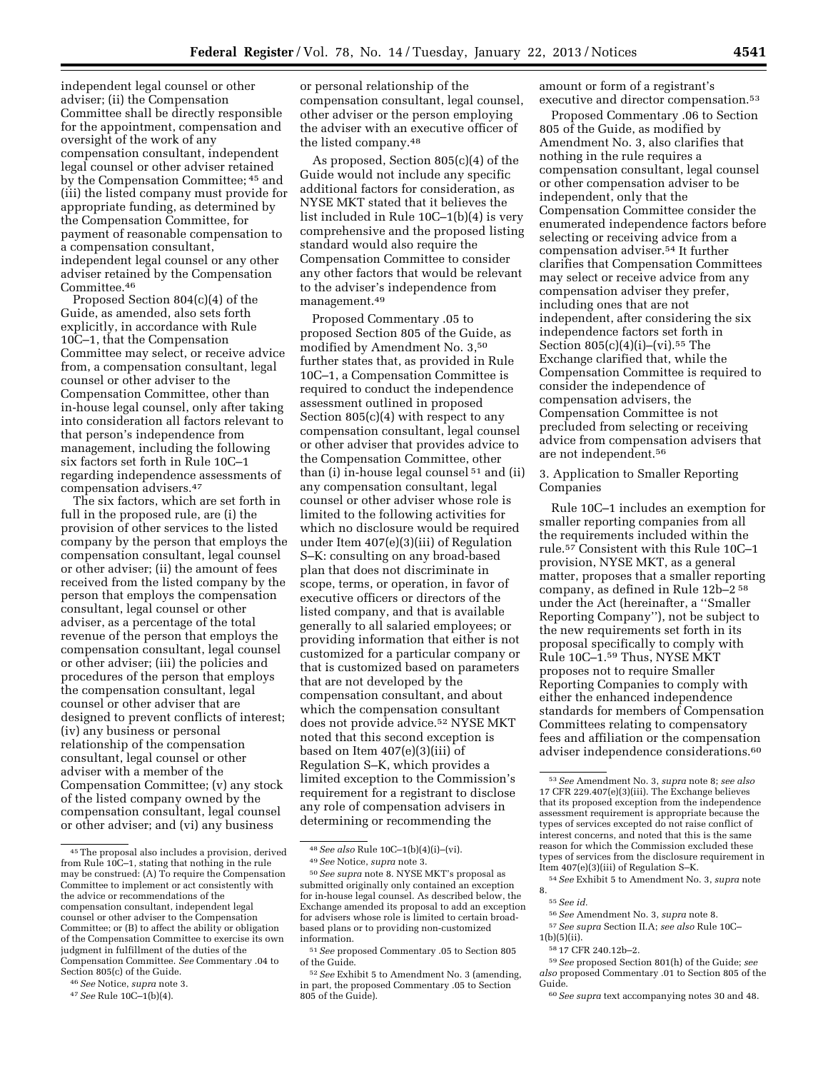independent legal counsel or other adviser; (ii) the Compensation Committee shall be directly responsible for the appointment, compensation and oversight of the work of any compensation consultant, independent legal counsel or other adviser retained by the Compensation Committee; 45 and (iii) the listed company must provide for appropriate funding, as determined by the Compensation Committee, for payment of reasonable compensation to a compensation consultant, independent legal counsel or any other adviser retained by the Compensation Committee.46

Proposed Section 804(c)(4) of the Guide, as amended, also sets forth explicitly, in accordance with Rule 10C–1, that the Compensation Committee may select, or receive advice from, a compensation consultant, legal counsel or other adviser to the Compensation Committee, other than in-house legal counsel, only after taking into consideration all factors relevant to that person's independence from management, including the following six factors set forth in Rule 10C–1 regarding independence assessments of compensation advisers.47

The six factors, which are set forth in full in the proposed rule, are (i) the provision of other services to the listed company by the person that employs the compensation consultant, legal counsel or other adviser; (ii) the amount of fees received from the listed company by the person that employs the compensation consultant, legal counsel or other adviser, as a percentage of the total revenue of the person that employs the compensation consultant, legal counsel or other adviser; (iii) the policies and procedures of the person that employs the compensation consultant, legal counsel or other adviser that are designed to prevent conflicts of interest; (iv) any business or personal relationship of the compensation consultant, legal counsel or other adviser with a member of the Compensation Committee; (v) any stock of the listed company owned by the compensation consultant, legal counsel or other adviser; and (vi) any business

or personal relationship of the compensation consultant, legal counsel, other adviser or the person employing the adviser with an executive officer of the listed company.48

As proposed, Section 805(c)(4) of the Guide would not include any specific additional factors for consideration, as NYSE MKT stated that it believes the list included in Rule 10C–1(b)(4) is very comprehensive and the proposed listing standard would also require the Compensation Committee to consider any other factors that would be relevant to the adviser's independence from management.49

Proposed Commentary .05 to proposed Section 805 of the Guide, as modified by Amendment No. 3,50 further states that, as provided in Rule 10C–1, a Compensation Committee is required to conduct the independence assessment outlined in proposed Section  $805(c)(4)$  with respect to any compensation consultant, legal counsel or other adviser that provides advice to the Compensation Committee, other than (i) in-house legal counsel 51 and (ii) any compensation consultant, legal counsel or other adviser whose role is limited to the following activities for which no disclosure would be required under Item 407(e)(3)(iii) of Regulation S–K: consulting on any broad-based plan that does not discriminate in scope, terms, or operation, in favor of executive officers or directors of the listed company, and that is available generally to all salaried employees; or providing information that either is not customized for a particular company or that is customized based on parameters that are not developed by the compensation consultant, and about which the compensation consultant does not provide advice.52 NYSE MKT noted that this second exception is based on Item 407(e)(3)(iii) of Regulation S–K, which provides a limited exception to the Commission's requirement for a registrant to disclose any role of compensation advisers in determining or recommending the

amount or form of a registrant's executive and director compensation.53

Proposed Commentary .06 to Section 805 of the Guide, as modified by Amendment No. 3, also clarifies that nothing in the rule requires a compensation consultant, legal counsel or other compensation adviser to be independent, only that the Compensation Committee consider the enumerated independence factors before selecting or receiving advice from a compensation adviser.54 It further clarifies that Compensation Committees may select or receive advice from any compensation adviser they prefer, including ones that are not independent, after considering the six independence factors set forth in Section  $805(c)(4)(i)$ –(vi).<sup>55</sup> The Exchange clarified that, while the Compensation Committee is required to consider the independence of compensation advisers, the Compensation Committee is not precluded from selecting or receiving advice from compensation advisers that are not independent.56

3. Application to Smaller Reporting Companies

Rule 10C–1 includes an exemption for smaller reporting companies from all the requirements included within the rule.57 Consistent with this Rule 10C–1 provision, NYSE MKT, as a general matter, proposes that a smaller reporting company, as defined in Rule 12b–2 58 under the Act (hereinafter, a ''Smaller Reporting Company''), not be subject to the new requirements set forth in its proposal specifically to comply with Rule 10C–1.59 Thus, NYSE MKT proposes not to require Smaller Reporting Companies to comply with either the enhanced independence standards for members of Compensation Committees relating to compensatory fees and affiliation or the compensation adviser independence considerations.60

- 56*See* Amendment No. 3, *supra* note 8.
- 57*See supra* Section II.A; *see also* Rule 10C–
- 1(b)(5)(ii). 58 17 CFR 240.12b–2.

59*See* proposed Section 801(h) of the Guide; *see also* proposed Commentary .01 to Section 805 of the Guide.

60*See supra* text accompanying notes 30 and 48.

<sup>45</sup>The proposal also includes a provision, derived from Rule 10C–1, stating that nothing in the rule may be construed: (A) To require the Compensation Committee to implement or act consistently with the advice or recommendations of the compensation consultant, independent legal counsel or other adviser to the Compensation Committee; or (B) to affect the ability or obligation of the Compensation Committee to exercise its own judgment in fulfillment of the duties of the Compensation Committee. *See* Commentary .04 to Section 805(c) of the Guide.

<sup>46</sup>*See* Notice, *supra* note 3.

<sup>47</sup>*See* Rule 10C–1(b)(4).

<sup>48</sup>*See also* Rule 10C–1(b)(4)(i)–(vi). 49*See* Notice, *supra* note 3.

<sup>50</sup>*See supra* note 8. NYSE MKT's proposal as submitted originally only contained an exception for in-house legal counsel. As described below, the Exchange amended its proposal to add an exception for advisers whose role is limited to certain broadbased plans or to providing non-customized information.

<sup>51</sup>*See* proposed Commentary .05 to Section 805 of the Guide.

<sup>52</sup>*See* Exhibit 5 to Amendment No. 3 (amending, in part, the proposed Commentary .05 to Section 805 of the Guide).

<sup>53</sup>*See* Amendment No. 3, *supra* note 8; *see also*  17 CFR 229.407(e)(3)(iii). The Exchange believes that its proposed exception from the independence assessment requirement is appropriate because the types of services excepted do not raise conflict of interest concerns, and noted that this is the same reason for which the Commission excluded these types of services from the disclosure requirement in Item 407(e)(3)(iii) of Regulation S–K.

<sup>54</sup>*See* Exhibit 5 to Amendment No. 3, *supra* note 8.

<sup>55</sup>*See id.*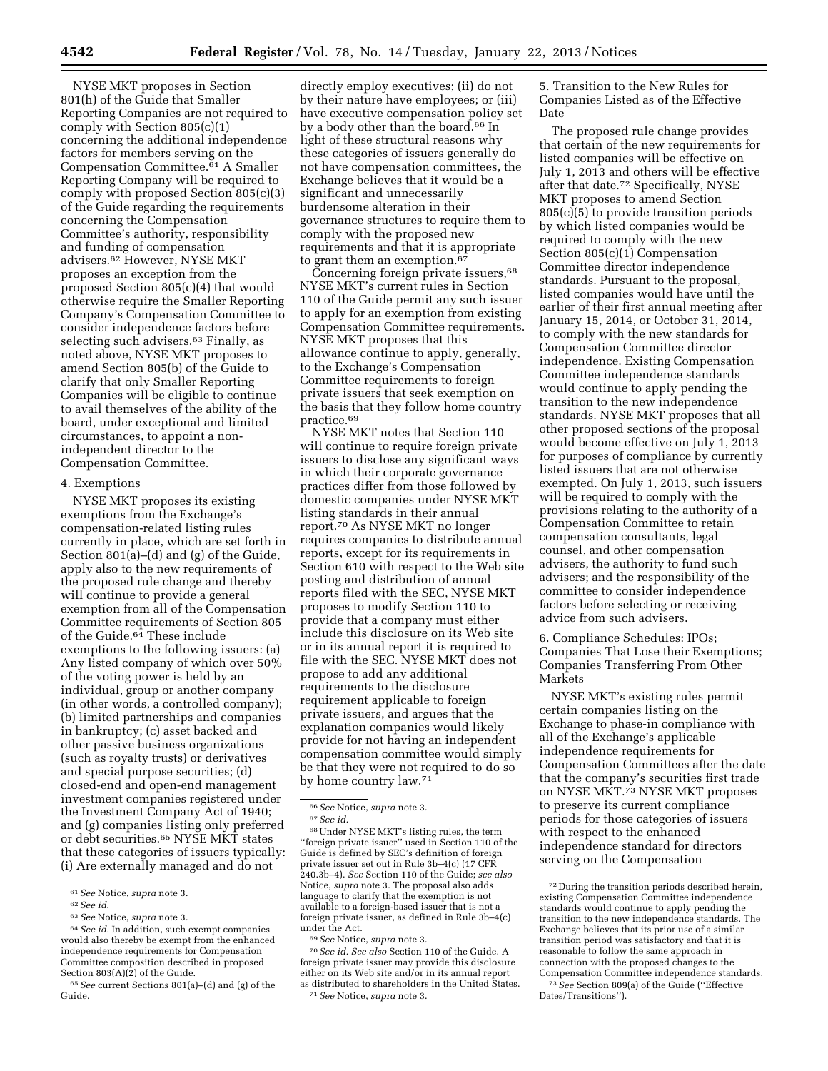NYSE MKT proposes in Section 801(h) of the Guide that Smaller Reporting Companies are not required to comply with Section 805(c)(1) concerning the additional independence factors for members serving on the Compensation Committee.61 A Smaller Reporting Company will be required to comply with proposed Section 805(c)(3) of the Guide regarding the requirements concerning the Compensation Committee's authority, responsibility and funding of compensation advisers.62 However, NYSE MKT proposes an exception from the proposed Section 805(c)(4) that would otherwise require the Smaller Reporting Company's Compensation Committee to consider independence factors before selecting such advisers.<sup>63</sup> Finally, as noted above, NYSE MKT proposes to amend Section 805(b) of the Guide to clarify that only Smaller Reporting Companies will be eligible to continue to avail themselves of the ability of the board, under exceptional and limited circumstances, to appoint a nonindependent director to the Compensation Committee.

#### 4. Exemptions

NYSE MKT proposes its existing exemptions from the Exchange's compensation-related listing rules currently in place, which are set forth in Section 801(a)–(d) and (g) of the Guide, apply also to the new requirements of the proposed rule change and thereby will continue to provide a general exemption from all of the Compensation Committee requirements of Section 805 of the Guide.<sup>64</sup> These include exemptions to the following issuers: (a) Any listed company of which over 50% of the voting power is held by an individual, group or another company (in other words, a controlled company); (b) limited partnerships and companies in bankruptcy; (c) asset backed and other passive business organizations (such as royalty trusts) or derivatives and special purpose securities; (d) closed-end and open-end management investment companies registered under the Investment Company Act of 1940; and (g) companies listing only preferred or debt securities.65 NYSE MKT states that these categories of issuers typically: (i) Are externally managed and do not

65*See* current Sections 801(a)–(d) and (g) of the Guide.

directly employ executives; (ii) do not by their nature have employees; or (iii) have executive compensation policy set by a body other than the board.66 In light of these structural reasons why these categories of issuers generally do not have compensation committees, the Exchange believes that it would be a significant and unnecessarily burdensome alteration in their governance structures to require them to comply with the proposed new requirements and that it is appropriate to grant them an exemption.<sup>67</sup>

Concerning foreign private issuers,<sup>68</sup> NYSE MKT's current rules in Section 110 of the Guide permit any such issuer to apply for an exemption from existing Compensation Committee requirements. NYSE MKT proposes that this allowance continue to apply, generally, to the Exchange's Compensation Committee requirements to foreign private issuers that seek exemption on the basis that they follow home country practice.69

NYSE MKT notes that Section 110 will continue to require foreign private issuers to disclose any significant ways in which their corporate governance practices differ from those followed by domestic companies under NYSE MKT listing standards in their annual report.70 As NYSE MKT no longer requires companies to distribute annual reports, except for its requirements in Section 610 with respect to the Web site posting and distribution of annual reports filed with the SEC, NYSE MKT proposes to modify Section 110 to provide that a company must either include this disclosure on its Web site or in its annual report it is required to file with the SEC. NYSE MKT does not propose to add any additional requirements to the disclosure requirement applicable to foreign private issuers, and argues that the explanation companies would likely provide for not having an independent compensation committee would simply be that they were not required to do so by home country law.71

68Under NYSE MKT's listing rules, the term ''foreign private issuer'' used in Section 110 of the Guide is defined by SEC's definition of foreign private issuer set out in Rule 3b–4(c) (17 CFR 240.3b–4). *See* Section 110 of the Guide; *see also*  Notice, *supra* note 3. The proposal also adds language to clarify that the exemption is not available to a foreign-based issuer that is not a foreign private issuer, as defined in Rule 3b–4(c) under the Act.

69*See* Notice, *supra* note 3.

70*See id. See also* Section 110 of the Guide. A foreign private issuer may provide this disclosure either on its Web site and/or in its annual report as distributed to shareholders in the United States. 71*See* Notice, *supra* note 3.

5. Transition to the New Rules for Companies Listed as of the Effective Date

The proposed rule change provides that certain of the new requirements for listed companies will be effective on July 1, 2013 and others will be effective after that date.72 Specifically, NYSE MKT proposes to amend Section 805(c)(5) to provide transition periods by which listed companies would be required to comply with the new Section 805(c)(1) Compensation Committee director independence standards. Pursuant to the proposal, listed companies would have until the earlier of their first annual meeting after January 15, 2014, or October 31, 2014, to comply with the new standards for Compensation Committee director independence. Existing Compensation Committee independence standards would continue to apply pending the transition to the new independence standards. NYSE MKT proposes that all other proposed sections of the proposal would become effective on July 1, 2013 for purposes of compliance by currently listed issuers that are not otherwise exempted. On July 1, 2013, such issuers will be required to comply with the provisions relating to the authority of a Compensation Committee to retain compensation consultants, legal counsel, and other compensation advisers, the authority to fund such advisers; and the responsibility of the committee to consider independence factors before selecting or receiving advice from such advisers.

6. Compliance Schedules: IPOs; Companies That Lose their Exemptions; Companies Transferring From Other Markets

NYSE MKT's existing rules permit certain companies listing on the Exchange to phase-in compliance with all of the Exchange's applicable independence requirements for Compensation Committees after the date that the company's securities first trade on NYSE MKT.73 NYSE MKT proposes to preserve its current compliance periods for those categories of issuers with respect to the enhanced independence standard for directors serving on the Compensation

<sup>61</sup>*See* Notice, *supra* note 3.

<sup>62</sup>*See id.* 

<sup>63</sup>*See* Notice, *supra* note 3.

<sup>64</sup>*See id.* In addition, such exempt companies would also thereby be exempt from the enhanced independence requirements for Compensation Committee composition described in proposed Section 803(A)(2) of the Guide.

<sup>66</sup>*See* Notice, *supra* note 3. 67*See id.* 

<sup>72</sup> During the transition periods described herein, existing Compensation Committee independence standards would continue to apply pending the transition to the new independence standards. The Exchange believes that its prior use of a similar transition period was satisfactory and that it is reasonable to follow the same approach in connection with the proposed changes to the Compensation Committee independence standards.

<sup>73</sup>*See* Section 809(a) of the Guide (''Effective Dates/Transitions'').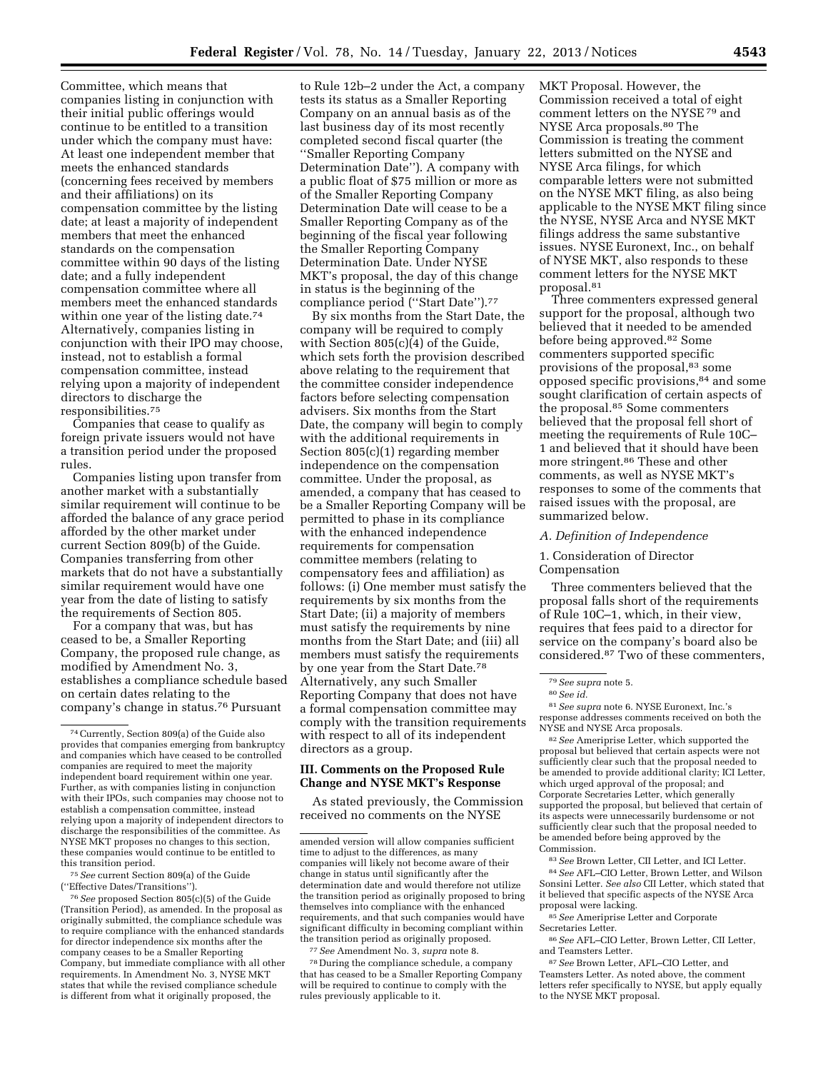Committee, which means that companies listing in conjunction with their initial public offerings would continue to be entitled to a transition under which the company must have: At least one independent member that meets the enhanced standards (concerning fees received by members and their affiliations) on its compensation committee by the listing date; at least a majority of independent members that meet the enhanced standards on the compensation committee within 90 days of the listing date; and a fully independent compensation committee where all members meet the enhanced standards within one year of the listing date.<sup>74</sup> Alternatively, companies listing in conjunction with their IPO may choose, instead, not to establish a formal compensation committee, instead relying upon a majority of independent directors to discharge the responsibilities.75

Companies that cease to qualify as foreign private issuers would not have a transition period under the proposed rules.

Companies listing upon transfer from another market with a substantially similar requirement will continue to be afforded the balance of any grace period afforded by the other market under current Section 809(b) of the Guide. Companies transferring from other markets that do not have a substantially similar requirement would have one year from the date of listing to satisfy the requirements of Section 805.

For a company that was, but has ceased to be, a Smaller Reporting Company, the proposed rule change, as modified by Amendment No. 3, establishes a compliance schedule based on certain dates relating to the company's change in status.76 Pursuant

75*See* current Section 809(a) of the Guide (''Effective Dates/Transitions'').

76*See* proposed Section 805(c)(5) of the Guide (Transition Period), as amended. In the proposal as originally submitted, the compliance schedule was to require compliance with the enhanced standards for director independence six months after the company ceases to be a Smaller Reporting Company, but immediate compliance with all other requirements. In Amendment No. 3, NYSE MKT states that while the revised compliance schedule is different from what it originally proposed, the

to Rule 12b–2 under the Act, a company tests its status as a Smaller Reporting Company on an annual basis as of the last business day of its most recently completed second fiscal quarter (the ''Smaller Reporting Company Determination Date''). A company with a public float of \$75 million or more as of the Smaller Reporting Company Determination Date will cease to be a Smaller Reporting Company as of the beginning of the fiscal year following the Smaller Reporting Company Determination Date. Under NYSE MKT's proposal, the day of this change in status is the beginning of the compliance period (''Start Date'').77

By six months from the Start Date, the company will be required to comply with Section 805(c)(4) of the Guide, which sets forth the provision described above relating to the requirement that the committee consider independence factors before selecting compensation advisers. Six months from the Start Date, the company will begin to comply with the additional requirements in Section 805(c)(1) regarding member independence on the compensation committee. Under the proposal, as amended, a company that has ceased to be a Smaller Reporting Company will be permitted to phase in its compliance with the enhanced independence requirements for compensation committee members (relating to compensatory fees and affiliation) as follows: (i) One member must satisfy the requirements by six months from the Start Date; (ii) a majority of members must satisfy the requirements by nine months from the Start Date; and (iii) all members must satisfy the requirements by one year from the Start Date.78 Alternatively, any such Smaller Reporting Company that does not have a formal compensation committee may comply with the transition requirements with respect to all of its independent directors as a group.

#### **III. Comments on the Proposed Rule Change and NYSE MKT's Response**

As stated previously, the Commission received no comments on the NYSE

77*See* Amendment No. 3, *supra* note 8.

78 During the compliance schedule, a company that has ceased to be a Smaller Reporting Company will be required to continue to comply with the rules previously applicable to it.

MKT Proposal. However, the Commission received a total of eight comment letters on the NYSE 79 and NYSE Arca proposals.80 The Commission is treating the comment letters submitted on the NYSE and NYSE Arca filings, for which comparable letters were not submitted on the NYSE MKT filing, as also being applicable to the NYSE MKT filing since the NYSE, NYSE Arca and NYSE MKT filings address the same substantive issues. NYSE Euronext, Inc., on behalf of NYSE MKT, also responds to these comment letters for the NYSE MKT proposal.81

Three commenters expressed general support for the proposal, although two believed that it needed to be amended before being approved.82 Some commenters supported specific provisions of the proposal,83 some opposed specific provisions,84 and some sought clarification of certain aspects of the proposal.85 Some commenters believed that the proposal fell short of meeting the requirements of Rule 10C– 1 and believed that it should have been more stringent.86 These and other comments, as well as NYSE MKT's responses to some of the comments that raised issues with the proposal, are summarized below.

#### *A. Definition of Independence*

#### 1. Consideration of Director Compensation

Three commenters believed that the proposal falls short of the requirements of Rule 10C–1, which, in their view, requires that fees paid to a director for service on the company's board also be considered.87 Two of these commenters,

81*See supra* note 6. NYSE Euronext, Inc.'s response addresses comments received on both the NYSE and NYSE Arca proposals.

82*See* Ameriprise Letter, which supported the proposal but believed that certain aspects were not sufficiently clear such that the proposal needed to be amended to provide additional clarity; ICI Letter, which urged approval of the proposal; and Corporate Secretaries Letter, which generally supported the proposal, but believed that certain of its aspects were unnecessarily burdensome or not sufficiently clear such that the proposal needed to be amended before being approved by the **Commission** 

83*See* Brown Letter, CII Letter, and ICI Letter. 84*See* AFL–CIO Letter, Brown Letter, and Wilson Sonsini Letter. *See also* CII Letter, which stated that it believed that specific aspects of the NYSE Arca proposal were lacking.

85*See* Ameriprise Letter and Corporate Secretaries Letter.

86*See* AFL–CIO Letter, Brown Letter, CII Letter, and Teamsters Letter.

87*See* Brown Letter, AFL–CIO Letter, and Teamsters Letter. As noted above, the comment letters refer specifically to NYSE, but apply equally to the NYSE MKT proposal.

<sup>74</sup>Currently, Section 809(a) of the Guide also provides that companies emerging from bankruptcy and companies which have ceased to be controlled companies are required to meet the majority independent board requirement within one year. Further, as with companies listing in conjunction with their IPOs, such companies may choose not to establish a compensation committee, instead relying upon a majority of independent directors to discharge the responsibilities of the committee. As NYSE MKT proposes no changes to this section, these companies would continue to be entitled to this transition period.

amended version will allow companies sufficient time to adjust to the differences, as many companies will likely not become aware of their change in status until significantly after the determination date and would therefore not utilize the transition period as originally proposed to bring themselves into compliance with the enhanced requirements, and that such companies would have significant difficulty in becoming compliant within the transition period as originally proposed.

<sup>79</sup>*See supra* note 5.

<sup>80</sup>*See id.*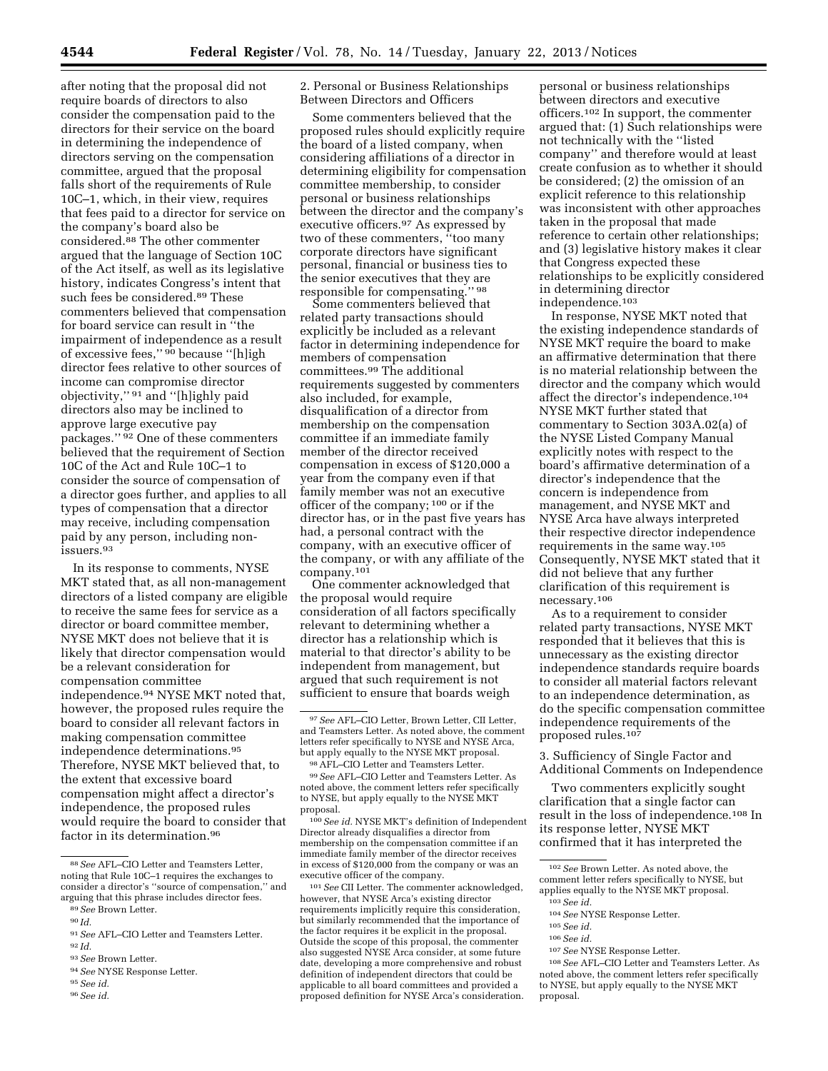after noting that the proposal did not require boards of directors to also consider the compensation paid to the directors for their service on the board in determining the independence of directors serving on the compensation committee, argued that the proposal falls short of the requirements of Rule 10C–1, which, in their view, requires that fees paid to a director for service on the company's board also be considered.88 The other commenter argued that the language of Section 10C of the Act itself, as well as its legislative history, indicates Congress's intent that such fees be considered.<sup>89</sup> These commenters believed that compensation for board service can result in ''the impairment of independence as a result of excessive fees,'' 90 because ''[h]igh director fees relative to other sources of income can compromise director objectivity,'' 91 and ''[h]ighly paid directors also may be inclined to approve large executive pay packages.'' 92 One of these commenters believed that the requirement of Section 10C of the Act and Rule 10C–1 to consider the source of compensation of a director goes further, and applies to all types of compensation that a director may receive, including compensation paid by any person, including nonissuers.93

In its response to comments, NYSE MKT stated that, as all non-management directors of a listed company are eligible to receive the same fees for service as a director or board committee member, NYSE MKT does not believe that it is likely that director compensation would be a relevant consideration for compensation committee independence.94 NYSE MKT noted that, however, the proposed rules require the board to consider all relevant factors in making compensation committee independence determinations.95 Therefore, NYSE MKT believed that, to the extent that excessive board compensation might affect a director's independence, the proposed rules would require the board to consider that factor in its determination.96

93*See* Brown Letter.

2. Personal or Business Relationships Between Directors and Officers

Some commenters believed that the proposed rules should explicitly require the board of a listed company, when considering affiliations of a director in determining eligibility for compensation committee membership, to consider personal or business relationships between the director and the company's executive officers.97 As expressed by two of these commenters, ''too many corporate directors have significant personal, financial or business ties to the senior executives that they are responsible for compensating.'' 98

Some commenters believed that related party transactions should explicitly be included as a relevant factor in determining independence for members of compensation committees.99 The additional requirements suggested by commenters also included, for example, disqualification of a director from membership on the compensation committee if an immediate family member of the director received compensation in excess of \$120,000 a year from the company even if that family member was not an executive officer of the company; 100 or if the director has, or in the past five years has had, a personal contract with the company, with an executive officer of the company, or with any affiliate of the company.101

One commenter acknowledged that the proposal would require consideration of all factors specifically relevant to determining whether a director has a relationship which is material to that director's ability to be independent from management, but argued that such requirement is not sufficient to ensure that boards weigh

100*See id.* NYSE MKT's definition of Independent Director already disqualifies a director from membership on the compensation committee if an immediate family member of the director receives in excess of \$120,000 from the company or was an executive officer of the company.

101*See* CII Letter. The commenter acknowledged, however, that NYSE Arca's existing director requirements implicitly require this consideration, but similarly recommended that the importance of the factor requires it be explicit in the proposal. Outside the scope of this proposal, the commenter also suggested NYSE Arca consider, at some future date, developing a more comprehensive and robust definition of independent directors that could be applicable to all board committees and provided a proposed definition for NYSE Arca's consideration.

personal or business relationships between directors and executive officers.102 In support, the commenter argued that: (1) Such relationships were not technically with the ''listed company'' and therefore would at least create confusion as to whether it should be considered; (2) the omission of an explicit reference to this relationship was inconsistent with other approaches taken in the proposal that made reference to certain other relationships; and (3) legislative history makes it clear that Congress expected these relationships to be explicitly considered in determining director independence.103

In response, NYSE MKT noted that the existing independence standards of NYSE MKT require the board to make an affirmative determination that there is no material relationship between the director and the company which would affect the director's independence.104 NYSE MKT further stated that commentary to Section 303A.02(a) of the NYSE Listed Company Manual explicitly notes with respect to the board's affirmative determination of a director's independence that the concern is independence from management, and NYSE MKT and NYSE Arca have always interpreted their respective director independence requirements in the same way.105 Consequently, NYSE MKT stated that it did not believe that any further clarification of this requirement is necessary.106

As to a requirement to consider related party transactions, NYSE MKT responded that it believes that this is unnecessary as the existing director independence standards require boards to consider all material factors relevant to an independence determination, as do the specific compensation committee independence requirements of the proposed rules.107

3. Sufficiency of Single Factor and Additional Comments on Independence

Two commenters explicitly sought clarification that a single factor can result in the loss of independence.108 In its response letter, NYSE MKT confirmed that it has interpreted the

107*See* NYSE Response Letter.

<sup>88</sup>*See* AFL–CIO Letter and Teamsters Letter, noting that Rule 10C–1 requires the exchanges to consider a director's ''source of compensation,'' and arguing that this phrase includes director fees. 89*See* Brown Letter.

<sup>90</sup> *Id.* 

<sup>91</sup>*See* AFL–CIO Letter and Teamsters Letter. 92 *Id.* 

<sup>94</sup>*See* NYSE Response Letter.

<sup>95</sup>*See id.* 

<sup>96</sup>*See id.* 

<sup>97</sup>*See* AFL–CIO Letter, Brown Letter, CII Letter, and Teamsters Letter. As noted above, the comment letters refer specifically to NYSE and NYSE Arca, but apply equally to the NYSE MKT proposal.

<sup>98</sup>AFL–CIO Letter and Teamsters Letter.

<sup>99</sup>*See* AFL–CIO Letter and Teamsters Letter. As noted above, the comment letters refer specifically to NYSE, but apply equally to the NYSE MKT proposal.

<sup>102</sup>*See* Brown Letter. As noted above, the comment letter refers specifically to NYSE, but applies equally to the NYSE MKT proposal. 103*See id.* 

<sup>104</sup>*See* NYSE Response Letter.

<sup>105</sup>*See id.* 

<sup>106</sup>*See id.* 

<sup>108</sup>*See* AFL–CIO Letter and Teamsters Letter. As noted above, the comment letters refer specifically to NYSE, but apply equally to the NYSE MKT proposal.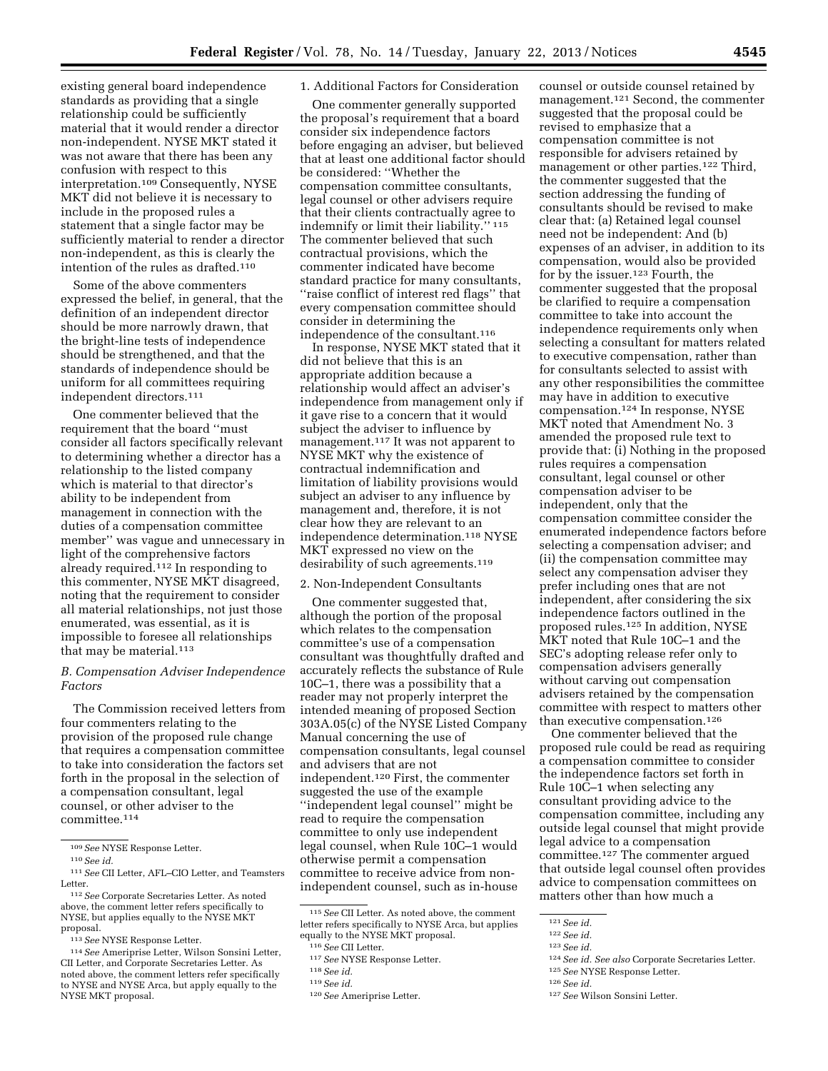existing general board independence standards as providing that a single relationship could be sufficiently material that it would render a director non-independent. NYSE MKT stated it was not aware that there has been any confusion with respect to this interpretation.109 Consequently, NYSE MKT did not believe it is necessary to include in the proposed rules a statement that a single factor may be sufficiently material to render a director non-independent, as this is clearly the intention of the rules as drafted.110

Some of the above commenters expressed the belief, in general, that the definition of an independent director should be more narrowly drawn, that the bright-line tests of independence should be strengthened, and that the standards of independence should be uniform for all committees requiring independent directors.111

One commenter believed that the requirement that the board ''must consider all factors specifically relevant to determining whether a director has a relationship to the listed company which is material to that director's ability to be independent from management in connection with the duties of a compensation committee member'' was vague and unnecessary in light of the comprehensive factors already required.112 In responding to this commenter, NYSE MKT disagreed, noting that the requirement to consider all material relationships, not just those enumerated, was essential, as it is impossible to foresee all relationships that may be material.<sup>113</sup>

#### *B. Compensation Adviser Independence Factors*

The Commission received letters from four commenters relating to the provision of the proposed rule change that requires a compensation committee to take into consideration the factors set forth in the proposal in the selection of a compensation consultant, legal counsel, or other adviser to the committee.114

## 1. Additional Factors for Consideration

One commenter generally supported the proposal's requirement that a board consider six independence factors before engaging an adviser, but believed that at least one additional factor should be considered: ''Whether the compensation committee consultants, legal counsel or other advisers require that their clients contractually agree to indemnify or limit their liability.'' 115 The commenter believed that such contractual provisions, which the commenter indicated have become standard practice for many consultants, ''raise conflict of interest red flags'' that every compensation committee should consider in determining the independence of the consultant.116

In response, NYSE MKT stated that it did not believe that this is an appropriate addition because a relationship would affect an adviser's independence from management only if it gave rise to a concern that it would subject the adviser to influence by management.117 It was not apparent to NYSE MKT why the existence of contractual indemnification and limitation of liability provisions would subject an adviser to any influence by management and, therefore, it is not clear how they are relevant to an independence determination.118 NYSE MKT expressed no view on the desirability of such agreements.<sup>119</sup>

#### 2. Non-Independent Consultants

One commenter suggested that, although the portion of the proposal which relates to the compensation committee's use of a compensation consultant was thoughtfully drafted and accurately reflects the substance of Rule 10C–1, there was a possibility that a reader may not properly interpret the intended meaning of proposed Section 303A.05(c) of the NYSE Listed Company Manual concerning the use of compensation consultants, legal counsel and advisers that are not independent.120 First, the commenter suggested the use of the example ''independent legal counsel'' might be read to require the compensation committee to only use independent legal counsel, when Rule 10C–1 would otherwise permit a compensation committee to receive advice from nonindependent counsel, such as in-house

counsel or outside counsel retained by management.121 Second, the commenter suggested that the proposal could be revised to emphasize that a compensation committee is not responsible for advisers retained by management or other parties.<sup>122</sup> Third, the commenter suggested that the section addressing the funding of consultants should be revised to make clear that: (a) Retained legal counsel need not be independent: And (b) expenses of an adviser, in addition to its compensation, would also be provided for by the issuer.123 Fourth, the commenter suggested that the proposal be clarified to require a compensation committee to take into account the independence requirements only when selecting a consultant for matters related to executive compensation, rather than for consultants selected to assist with any other responsibilities the committee may have in addition to executive compensation.124 In response, NYSE MKT noted that Amendment No. 3 amended the proposed rule text to provide that: (i) Nothing in the proposed rules requires a compensation consultant, legal counsel or other compensation adviser to be independent, only that the compensation committee consider the enumerated independence factors before selecting a compensation adviser; and (ii) the compensation committee may select any compensation adviser they prefer including ones that are not independent, after considering the six independence factors outlined in the proposed rules.125 In addition, NYSE MKT noted that Rule 10C–1 and the SEC's adopting release refer only to compensation advisers generally without carving out compensation advisers retained by the compensation committee with respect to matters other than executive compensation.126

One commenter believed that the proposed rule could be read as requiring a compensation committee to consider the independence factors set forth in Rule 10C–1 when selecting any consultant providing advice to the compensation committee, including any outside legal counsel that might provide legal advice to a compensation committee.127 The commenter argued that outside legal counsel often provides advice to compensation committees on matters other than how much a

<sup>109</sup>*See* NYSE Response Letter.

<sup>110</sup>*See id.* 

<sup>111</sup>*See* CII Letter, AFL–CIO Letter, and Teamsters Letter.

<sup>112</sup>*See* Corporate Secretaries Letter. As noted above, the comment letter refers specifically to NYSE, but applies equally to the NYSE MKT proposal.

<sup>113</sup>*See* NYSE Response Letter.

<sup>114</sup>*See* Ameriprise Letter, Wilson Sonsini Letter, CII Letter, and Corporate Secretaries Letter. As noted above, the comment letters refer specifically to NYSE and NYSE Arca, but apply equally to the NYSE MKT proposal.

<sup>115</sup>*See* CII Letter. As noted above, the comment letter refers specifically to NYSE Arca, but applies equally to the NYSE MKT proposal.

<sup>116</sup>*See* CII Letter.

<sup>117</sup>*See* NYSE Response Letter.

<sup>118</sup>*See id.* 

<sup>119</sup>*See id.* 

<sup>120</sup>*See* Ameriprise Letter.

<sup>121</sup>*See id.* 

<sup>122</sup>*See id.* 

<sup>123</sup>*See id.* 

<sup>124</sup>*See id. See also* Corporate Secretaries Letter.

<sup>125</sup>*See* NYSE Response Letter.

<sup>126</sup>*See id.* 

<sup>127</sup>*See* Wilson Sonsini Letter.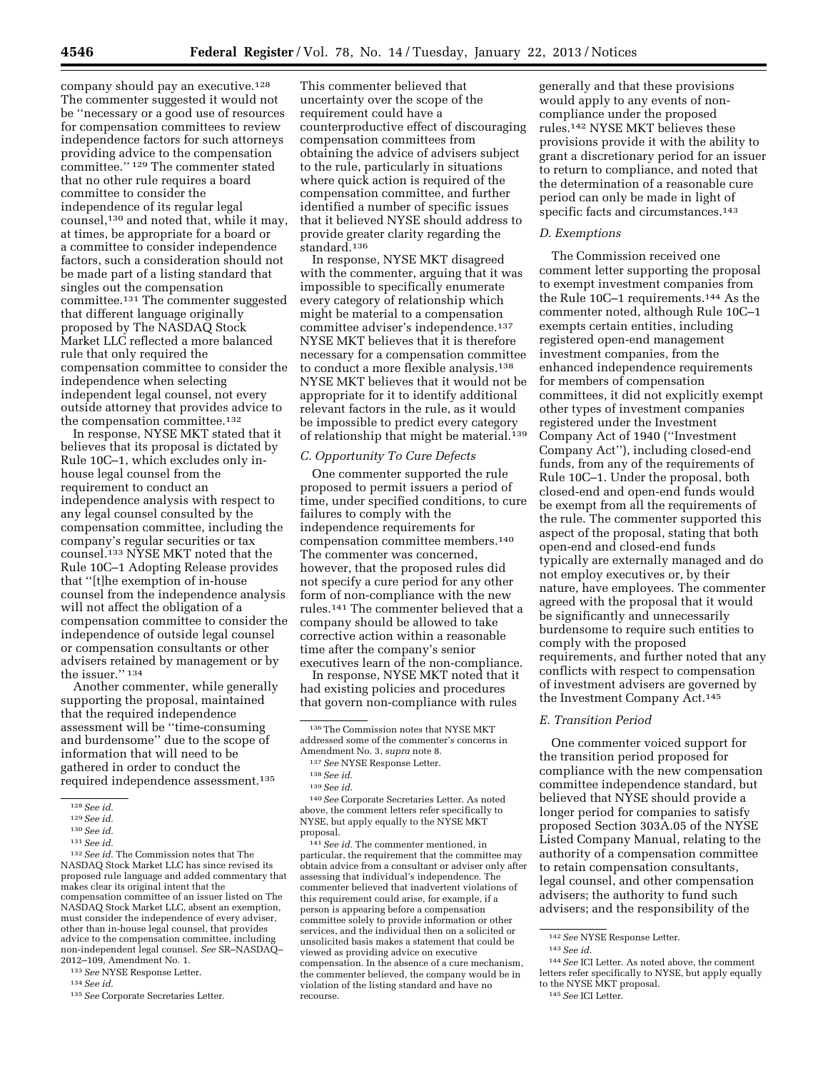company should pay an executive.<sup>128</sup> The commenter suggested it would not be ''necessary or a good use of resources for compensation committees to review independence factors for such attorneys providing advice to the compensation committee.'' 129 The commenter stated that no other rule requires a board committee to consider the independence of its regular legal counsel,130 and noted that, while it may, at times, be appropriate for a board or a committee to consider independence factors, such a consideration should not be made part of a listing standard that singles out the compensation committee.131 The commenter suggested that different language originally proposed by The NASDAQ Stock Market LLC reflected a more balanced rule that only required the compensation committee to consider the independence when selecting independent legal counsel, not every outside attorney that provides advice to the compensation committee.<sup>132</sup>

In response, NYSE MKT stated that it believes that its proposal is dictated by Rule 10C–1, which excludes only inhouse legal counsel from the requirement to conduct an independence analysis with respect to any legal counsel consulted by the compensation committee, including the company's regular securities or tax counsel.133 NYSE MKT noted that the Rule 10C–1 Adopting Release provides that ''[t]he exemption of in-house counsel from the independence analysis will not affect the obligation of a compensation committee to consider the independence of outside legal counsel or compensation consultants or other advisers retained by management or by the issuer.'' 134

Another commenter, while generally supporting the proposal, maintained that the required independence assessment will be ''time-consuming and burdensome'' due to the scope of information that will need to be gathered in order to conduct the required independence assessment.135

132*See id.* The Commission notes that The NASDAQ Stock Market LLC has since revised its proposed rule language and added commentary that makes clear its original intent that the compensation committee of an issuer listed on The NASDAQ Stock Market LLC, absent an exemption, must consider the independence of every adviser, other than in-house legal counsel, that provides advice to the compensation committee, including non-independent legal counsel. *See* SR–NASDAQ– 2012–109, Amendment No. 1.

<sup>133</sup>*See* NYSE Response Letter. 134*See id.* 

135*See* Corporate Secretaries Letter.

This commenter believed that uncertainty over the scope of the requirement could have a counterproductive effect of discouraging compensation committees from obtaining the advice of advisers subject to the rule, particularly in situations where quick action is required of the compensation committee, and further identified a number of specific issues that it believed NYSE should address to provide greater clarity regarding the standard.<sup>136</sup>

In response, NYSE MKT disagreed with the commenter, arguing that it was impossible to specifically enumerate every category of relationship which might be material to a compensation committee adviser's independence.137 NYSE MKT believes that it is therefore necessary for a compensation committee to conduct a more flexible analysis.138 NYSE MKT believes that it would not be appropriate for it to identify additional relevant factors in the rule, as it would be impossible to predict every category of relationship that might be material.<sup>139</sup>

#### *C. Opportunity To Cure Defects*

One commenter supported the rule proposed to permit issuers a period of time, under specified conditions, to cure failures to comply with the independence requirements for compensation committee members.140 The commenter was concerned, however, that the proposed rules did not specify a cure period for any other form of non-compliance with the new rules.141 The commenter believed that a company should be allowed to take corrective action within a reasonable time after the company's senior executives learn of the non-compliance.

In response, NYSE MKT noted that it had existing policies and procedures that govern non-compliance with rules

140*See* Corporate Secretaries Letter. As noted above, the comment letters refer specifically to NYSE, but apply equally to the NYSE MKT proposal.

141*See id.* The commenter mentioned, in particular, the requirement that the committee may obtain advice from a consultant or adviser only after assessing that individual's independence. The commenter believed that inadvertent violations of this requirement could arise, for example, if a person is appearing before a compensation committee solely to provide information or other services, and the individual then on a solicited or unsolicited basis makes a statement that could be viewed as providing advice on executive compensation. In the absence of a cure mechanism, the commenter believed, the company would be in violation of the listing standard and have no recourse.

generally and that these provisions would apply to any events of noncompliance under the proposed rules.142 NYSE MKT believes these provisions provide it with the ability to grant a discretionary period for an issuer to return to compliance, and noted that the determination of a reasonable cure period can only be made in light of specific facts and circumstances.<sup>143</sup>

#### *D. Exemptions*

The Commission received one comment letter supporting the proposal to exempt investment companies from the Rule 10C–1 requirements.144 As the commenter noted, although Rule 10C–1 exempts certain entities, including registered open-end management investment companies, from the enhanced independence requirements for members of compensation committees, it did not explicitly exempt other types of investment companies registered under the Investment Company Act of 1940 (''Investment Company Act''), including closed-end funds, from any of the requirements of Rule 10C–1. Under the proposal, both closed-end and open-end funds would be exempt from all the requirements of the rule. The commenter supported this aspect of the proposal, stating that both open-end and closed-end funds typically are externally managed and do not employ executives or, by their nature, have employees. The commenter agreed with the proposal that it would be significantly and unnecessarily burdensome to require such entities to comply with the proposed requirements, and further noted that any conflicts with respect to compensation of investment advisers are governed by the Investment Company Act.145

#### *E. Transition Period*

One commenter voiced support for the transition period proposed for compliance with the new compensation committee independence standard, but believed that NYSE should provide a longer period for companies to satisfy proposed Section 303A.05 of the NYSE Listed Company Manual, relating to the authority of a compensation committee to retain compensation consultants, legal counsel, and other compensation advisers; the authority to fund such advisers; and the responsibility of the

<sup>128</sup>*See id.* 

<sup>129</sup>*See id.* 

<sup>130</sup>*See id.* 

<sup>131</sup>*See id.* 

 $^{136}\mathrm{The}$  Commission notes that NYSE MKT addressed some of the commenter's concerns in Amendment No. 3, *supra* note 8.

<sup>137</sup>*See* NYSE Response Letter.

<sup>138</sup>*See id.* 

<sup>139</sup>*See id.* 

<sup>142</sup>*See* NYSE Response Letter.

<sup>143</sup>*See id.* 

<sup>144</sup>*See* ICI Letter. As noted above, the comment letters refer specifically to NYSE, but apply equally to the NYSE MKT proposal.

<sup>145</sup>*See* ICI Letter.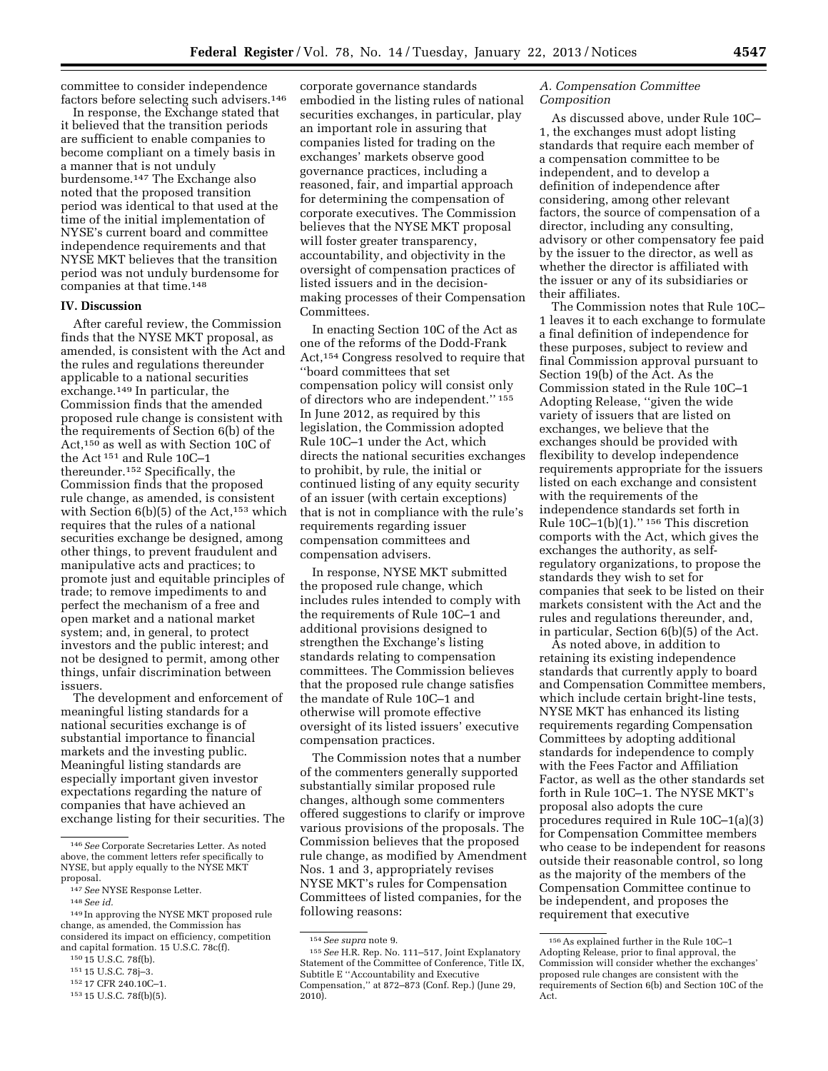committee to consider independence factors before selecting such advisers.146

In response, the Exchange stated that it believed that the transition periods are sufficient to enable companies to become compliant on a timely basis in a manner that is not unduly burdensome.147 The Exchange also noted that the proposed transition period was identical to that used at the time of the initial implementation of NYSE's current board and committee independence requirements and that NYSE MKT believes that the transition period was not unduly burdensome for companies at that time.148

#### **IV. Discussion**

After careful review, the Commission finds that the NYSE MKT proposal, as amended, is consistent with the Act and the rules and regulations thereunder applicable to a national securities exchange.149 In particular, the Commission finds that the amended proposed rule change is consistent with the requirements of Section 6(b) of the Act,150 as well as with Section 10C of the Act 151 and Rule 10C–1 thereunder.152 Specifically, the Commission finds that the proposed rule change, as amended, is consistent with Section 6(b)(5) of the Act,<sup>153</sup> which requires that the rules of a national securities exchange be designed, among other things, to prevent fraudulent and manipulative acts and practices; to promote just and equitable principles of trade; to remove impediments to and perfect the mechanism of a free and open market and a national market system; and, in general, to protect investors and the public interest; and not be designed to permit, among other things, unfair discrimination between issuers.

The development and enforcement of meaningful listing standards for a national securities exchange is of substantial importance to financial markets and the investing public. Meaningful listing standards are especially important given investor expectations regarding the nature of companies that have achieved an exchange listing for their securities. The

corporate governance standards embodied in the listing rules of national securities exchanges, in particular, play an important role in assuring that companies listed for trading on the exchanges' markets observe good governance practices, including a reasoned, fair, and impartial approach for determining the compensation of corporate executives. The Commission believes that the NYSE MKT proposal will foster greater transparency, accountability, and objectivity in the oversight of compensation practices of listed issuers and in the decisionmaking processes of their Compensation Committees.

In enacting Section 10C of the Act as one of the reforms of the Dodd-Frank Act,154 Congress resolved to require that ''board committees that set compensation policy will consist only of directors who are independent.'' 155 In June 2012, as required by this legislation, the Commission adopted Rule 10C–1 under the Act, which directs the national securities exchanges to prohibit, by rule, the initial or continued listing of any equity security of an issuer (with certain exceptions) that is not in compliance with the rule's requirements regarding issuer compensation committees and compensation advisers.

In response, NYSE MKT submitted the proposed rule change, which includes rules intended to comply with the requirements of Rule 10C–1 and additional provisions designed to strengthen the Exchange's listing standards relating to compensation committees. The Commission believes that the proposed rule change satisfies the mandate of Rule 10C–1 and otherwise will promote effective oversight of its listed issuers' executive compensation practices.

The Commission notes that a number of the commenters generally supported substantially similar proposed rule changes, although some commenters offered suggestions to clarify or improve various provisions of the proposals. The Commission believes that the proposed rule change, as modified by Amendment Nos. 1 and 3, appropriately revises NYSE MKT's rules for Compensation Committees of listed companies, for the following reasons:

## *A. Compensation Committee Composition*

As discussed above, under Rule 10C– 1, the exchanges must adopt listing standards that require each member of a compensation committee to be independent, and to develop a definition of independence after considering, among other relevant factors, the source of compensation of a director, including any consulting, advisory or other compensatory fee paid by the issuer to the director, as well as whether the director is affiliated with the issuer or any of its subsidiaries or their affiliates.

The Commission notes that Rule 10C– 1 leaves it to each exchange to formulate a final definition of independence for these purposes, subject to review and final Commission approval pursuant to Section 19(b) of the Act. As the Commission stated in the Rule 10C–1 Adopting Release, ''given the wide variety of issuers that are listed on exchanges, we believe that the exchanges should be provided with flexibility to develop independence requirements appropriate for the issuers listed on each exchange and consistent with the requirements of the independence standards set forth in Rule  $10C-1(b)(1)$ ."<sup>156</sup> This discretion comports with the Act, which gives the exchanges the authority, as selfregulatory organizations, to propose the standards they wish to set for companies that seek to be listed on their markets consistent with the Act and the rules and regulations thereunder, and, in particular, Section 6(b)(5) of the Act.

As noted above, in addition to retaining its existing independence standards that currently apply to board and Compensation Committee members, which include certain bright-line tests, NYSE MKT has enhanced its listing requirements regarding Compensation Committees by adopting additional standards for independence to comply with the Fees Factor and Affiliation Factor, as well as the other standards set forth in Rule 10C–1. The NYSE MKT's proposal also adopts the cure procedures required in Rule 10C–1(a)(3) for Compensation Committee members who cease to be independent for reasons outside their reasonable control, so long as the majority of the members of the Compensation Committee continue to be independent, and proposes the requirement that executive

<sup>146</sup>*See* Corporate Secretaries Letter. As noted above, the comment letters refer specifically to NYSE, but apply equally to the NYSE MKT proposal.

<sup>147</sup>*See* NYSE Response Letter.

<sup>148</sup>*See id.* 

<sup>149</sup> In approving the NYSE MKT proposed rule change, as amended, the Commission has considered its impact on efficiency, competition and capital formation. 15 U.S.C. 78c(f).

<sup>150</sup> 15 U.S.C. 78f(b).

<sup>151</sup> 15 U.S.C. 78j–3.

<sup>152</sup> 17 CFR 240.10C–1.

<sup>153</sup> 15 U.S.C. 78f(b)(5).

<sup>154</sup>*See supra* note 9.

<sup>155</sup>*See* H.R. Rep. No. 111–517, Joint Explanatory Statement of the Committee of Conference, Title IX, Subtitle E ''Accountability and Executive Compensation,'' at 872–873 (Conf. Rep.) (June 29, 2010).

<sup>156</sup>As explained further in the Rule 10C–1 Adopting Release, prior to final approval, the Commission will consider whether the exchanges' proposed rule changes are consistent with the requirements of Section 6(b) and Section 10C of the Act.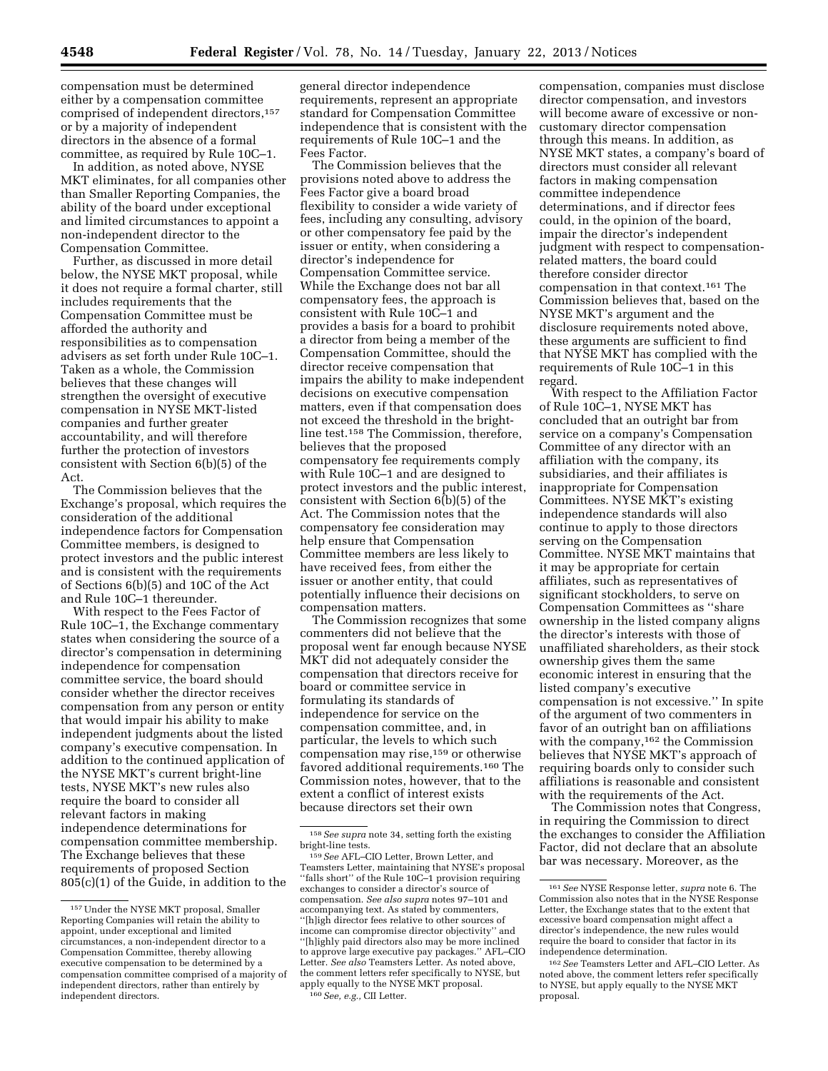compensation must be determined either by a compensation committee comprised of independent directors,157 or by a majority of independent directors in the absence of a formal committee, as required by Rule 10C–1.

In addition, as noted above, NYSE MKT eliminates, for all companies other than Smaller Reporting Companies, the ability of the board under exceptional and limited circumstances to appoint a non-independent director to the Compensation Committee.

Further, as discussed in more detail below, the NYSE MKT proposal, while it does not require a formal charter, still includes requirements that the Compensation Committee must be afforded the authority and responsibilities as to compensation advisers as set forth under Rule 10C–1. Taken as a whole, the Commission believes that these changes will strengthen the oversight of executive compensation in NYSE MKT-listed companies and further greater accountability, and will therefore further the protection of investors consistent with Section 6(b)(5) of the Act.

The Commission believes that the Exchange's proposal, which requires the consideration of the additional independence factors for Compensation Committee members, is designed to protect investors and the public interest and is consistent with the requirements of Sections 6(b)(5) and 10C of the Act and Rule 10C–1 thereunder.

With respect to the Fees Factor of Rule 10C–1, the Exchange commentary states when considering the source of a director's compensation in determining independence for compensation committee service, the board should consider whether the director receives compensation from any person or entity that would impair his ability to make independent judgments about the listed company's executive compensation. In addition to the continued application of the NYSE MKT's current bright-line tests, NYSE MKT's new rules also require the board to consider all relevant factors in making independence determinations for compensation committee membership. The Exchange believes that these requirements of proposed Section 805(c)(1) of the Guide, in addition to the

general director independence requirements, represent an appropriate standard for Compensation Committee independence that is consistent with the requirements of Rule 10C–1 and the Fees Factor.

The Commission believes that the provisions noted above to address the Fees Factor give a board broad flexibility to consider a wide variety of fees, including any consulting, advisory or other compensatory fee paid by the issuer or entity, when considering a director's independence for Compensation Committee service. While the Exchange does not bar all compensatory fees, the approach is consistent with Rule 10C–1 and provides a basis for a board to prohibit a director from being a member of the Compensation Committee, should the director receive compensation that impairs the ability to make independent decisions on executive compensation matters, even if that compensation does not exceed the threshold in the brightline test.158 The Commission, therefore, believes that the proposed compensatory fee requirements comply with Rule 10C–1 and are designed to protect investors and the public interest, consistent with Section 6(b)(5) of the Act. The Commission notes that the compensatory fee consideration may help ensure that Compensation Committee members are less likely to have received fees, from either the issuer or another entity, that could potentially influence their decisions on compensation matters.

The Commission recognizes that some commenters did not believe that the proposal went far enough because NYSE MKT did not adequately consider the compensation that directors receive for board or committee service in formulating its standards of independence for service on the compensation committee, and, in particular, the levels to which such compensation may rise,159 or otherwise favored additional requirements.160 The Commission notes, however, that to the extent a conflict of interest exists because directors set their own

compensation, companies must disclose director compensation, and investors will become aware of excessive or noncustomary director compensation through this means. In addition, as NYSE MKT states, a company's board of directors must consider all relevant factors in making compensation committee independence determinations, and if director fees could, in the opinion of the board, impair the director's independent judgment with respect to compensationrelated matters, the board could therefore consider director compensation in that context.161 The Commission believes that, based on the NYSE MKT's argument and the disclosure requirements noted above, these arguments are sufficient to find that NYSE MKT has complied with the requirements of Rule 10C–1 in this regard.

With respect to the Affiliation Factor of Rule 10C–1, NYSE MKT has concluded that an outright bar from service on a company's Compensation Committee of any director with an affiliation with the company, its subsidiaries, and their affiliates is inappropriate for Compensation Committees. NYSE MKT's existing independence standards will also continue to apply to those directors serving on the Compensation Committee. NYSE MKT maintains that it may be appropriate for certain affiliates, such as representatives of significant stockholders, to serve on Compensation Committees as ''share ownership in the listed company aligns the director's interests with those of unaffiliated shareholders, as their stock ownership gives them the same economic interest in ensuring that the listed company's executive compensation is not excessive.'' In spite of the argument of two commenters in favor of an outright ban on affiliations with the company,<sup>162</sup> the Commission believes that NYSE MKT's approach of requiring boards only to consider such affiliations is reasonable and consistent with the requirements of the Act.

The Commission notes that Congress, in requiring the Commission to direct the exchanges to consider the Affiliation Factor, did not declare that an absolute bar was necessary. Moreover, as the

<sup>157</sup>Under the NYSE MKT proposal, Smaller Reporting Companies will retain the ability to appoint, under exceptional and limited circumstances, a non-independent director to a Compensation Committee, thereby allowing executive compensation to be determined by a compensation committee comprised of a majority of independent directors, rather than entirely by independent directors.

<sup>158</sup>*See supra* note 34, setting forth the existing

<sup>&</sup>lt;sup>159</sup> See AFL–CIO Letter, Brown Letter, and Teamsters Letter, maintaining that NYSE's proposal ''falls short'' of the Rule 10C–1 provision requiring exchanges to consider a director's source of compensation. *See also supra* notes 97–101 and accompanying text. As stated by commenters, ''[h]igh director fees relative to other sources of income can compromise director objectivity'' and ''[h]ighly paid directors also may be more inclined to approve large executive pay packages.'' AFL–CIO Letter. *See also* Teamsters Letter. As noted above, the comment letters refer specifically to NYSE, but apply equally to the NYSE MKT proposal. 160*See, e.g.,* CII Letter.

<sup>161</sup>*See* NYSE Response letter, *supra* note 6. The Commission also notes that in the NYSE Response Letter, the Exchange states that to the extent that excessive board compensation might affect a director's independence, the new rules would require the board to consider that factor in its independence determination.

<sup>162</sup>*See* Teamsters Letter and AFL–CIO Letter. As noted above, the comment letters refer specifically to NYSE, but apply equally to the NYSE MKT proposal.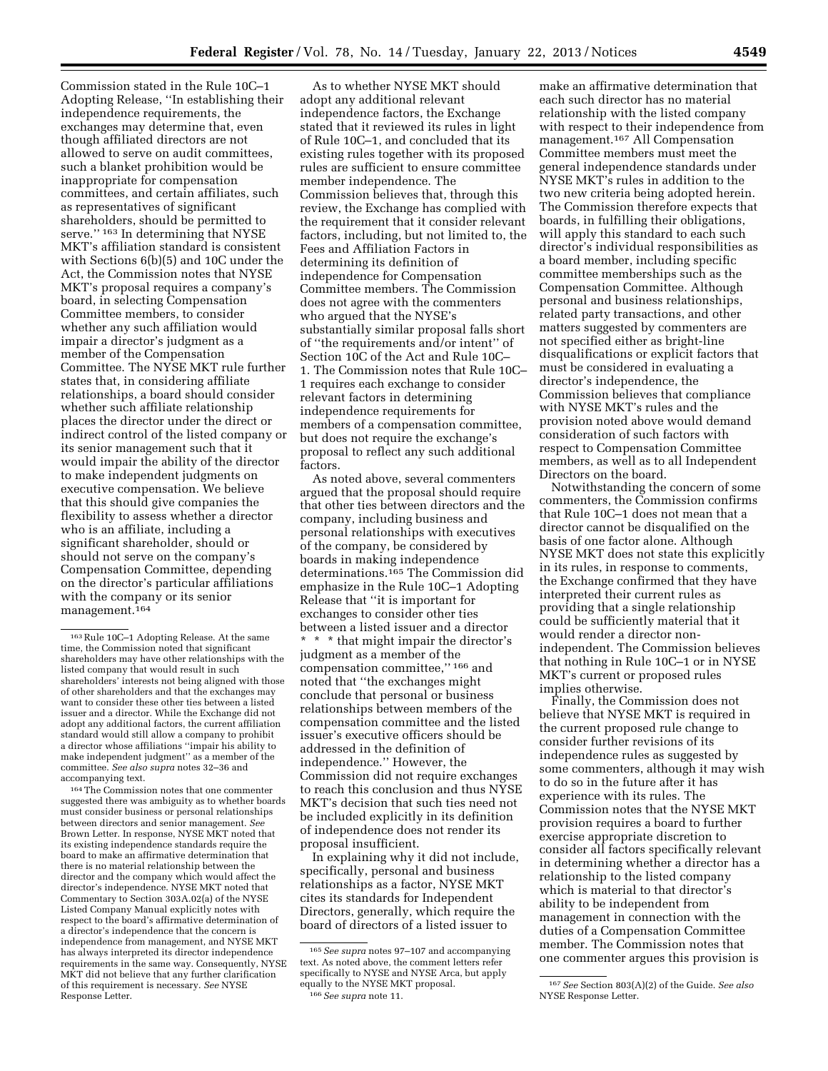Commission stated in the Rule 10C–1 Adopting Release, ''In establishing their independence requirements, the exchanges may determine that, even though affiliated directors are not allowed to serve on audit committees, such a blanket prohibition would be inappropriate for compensation committees, and certain affiliates, such as representatives of significant shareholders, should be permitted to serve."  $^{\rm 163}$  In determining that NYSE MKT's affiliation standard is consistent with Sections 6(b)(5) and 10C under the Act, the Commission notes that NYSE MKT's proposal requires a company's board, in selecting Compensation Committee members, to consider whether any such affiliation would impair a director's judgment as a member of the Compensation Committee. The NYSE MKT rule further states that, in considering affiliate relationships, a board should consider whether such affiliate relationship places the director under the direct or indirect control of the listed company or its senior management such that it would impair the ability of the director to make independent judgments on executive compensation. We believe that this should give companies the flexibility to assess whether a director who is an affiliate, including a significant shareholder, should or should not serve on the company's Compensation Committee, depending on the director's particular affiliations with the company or its senior management.164

164The Commission notes that one commenter suggested there was ambiguity as to whether boards must consider business or personal relationships between directors and senior management. *See*  Brown Letter. In response, NYSE MKT noted that its existing independence standards require the board to make an affirmative determination that there is no material relationship between the director and the company which would affect the director's independence. NYSE MKT noted that Commentary to Section 303A.02(a) of the NYSE Listed Company Manual explicitly notes with respect to the board's affirmative determination of a director's independence that the concern is independence from management, and NYSE MKT has always interpreted its director independence requirements in the same way. Consequently, NYSE MKT did not believe that any further clarification of this requirement is necessary. *See* NYSE Response Letter.

As noted above, several commenters argued that the proposal should require that other ties between directors and the company, including business and personal relationships with executives of the company, be considered by boards in making independence determinations.165 The Commission did emphasize in the Rule 10C–1 Adopting Release that ''it is important for exchanges to consider other ties between a listed issuer and a director \* \* \* that might impair the director's judgment as a member of the compensation committee,'' 166 and noted that ''the exchanges might conclude that personal or business relationships between members of the compensation committee and the listed issuer's executive officers should be addressed in the definition of independence.'' However, the Commission did not require exchanges to reach this conclusion and thus NYSE MKT's decision that such ties need not be included explicitly in its definition of independence does not render its proposal insufficient.

In explaining why it did not include, specifically, personal and business relationships as a factor, NYSE MKT cites its standards for Independent Directors, generally, which require the board of directors of a listed issuer to

make an affirmative determination that each such director has no material relationship with the listed company with respect to their independence from management.167 All Compensation Committee members must meet the general independence standards under NYSE MKT's rules in addition to the two new criteria being adopted herein. The Commission therefore expects that boards, in fulfilling their obligations, will apply this standard to each such director's individual responsibilities as a board member, including specific committee memberships such as the Compensation Committee. Although personal and business relationships, related party transactions, and other matters suggested by commenters are not specified either as bright-line disqualifications or explicit factors that must be considered in evaluating a director's independence, the Commission believes that compliance with NYSE MKT's rules and the provision noted above would demand consideration of such factors with respect to Compensation Committee members, as well as to all Independent Directors on the board.

Notwithstanding the concern of some commenters, the Commission confirms that Rule 10C–1 does not mean that a director cannot be disqualified on the basis of one factor alone. Although NYSE MKT does not state this explicitly in its rules, in response to comments, the Exchange confirmed that they have interpreted their current rules as providing that a single relationship could be sufficiently material that it would render a director nonindependent. The Commission believes that nothing in Rule 10C–1 or in NYSE MKT's current or proposed rules implies otherwise.

Finally, the Commission does not believe that NYSE MKT is required in the current proposed rule change to consider further revisions of its independence rules as suggested by some commenters, although it may wish to do so in the future after it has experience with its rules. The Commission notes that the NYSE MKT provision requires a board to further exercise appropriate discretion to consider all factors specifically relevant in determining whether a director has a relationship to the listed company which is material to that director's ability to be independent from management in connection with the duties of a Compensation Committee member. The Commission notes that one commenter argues this provision is

<sup>163</sup>Rule 10C–1 Adopting Release. At the same time, the Commission noted that significant shareholders may have other relationships with the listed company that would result in such shareholders' interests not being aligned with those of other shareholders and that the exchanges may want to consider these other ties between a listed issuer and a director. While the Exchange did not adopt any additional factors, the current affiliation standard would still allow a company to prohibit a director whose affiliations ''impair his ability to make independent judgment'' as a member of the committee. *See also supra* notes 32–36 and accompanying text.

As to whether NYSE MKT should adopt any additional relevant independence factors, the Exchange stated that it reviewed its rules in light of Rule 10C–1, and concluded that its existing rules together with its proposed rules are sufficient to ensure committee member independence. The Commission believes that, through this review, the Exchange has complied with the requirement that it consider relevant factors, including, but not limited to, the Fees and Affiliation Factors in determining its definition of independence for Compensation Committee members. The Commission does not agree with the commenters who argued that the NYSE's substantially similar proposal falls short of ''the requirements and/or intent'' of Section 10C of the Act and Rule 10C– 1. The Commission notes that Rule 10C– 1 requires each exchange to consider relevant factors in determining independence requirements for members of a compensation committee, but does not require the exchange's proposal to reflect any such additional factors.

<sup>165</sup>*See supra* notes 97–107 and accompanying text. As noted above, the comment letters refer specifically to NYSE and NYSE Arca, but apply equally to the NYSE MKT proposal. 166*See supra* note 11.

<sup>167</sup>*See* Section 803(A)(2) of the Guide. *See also*  NYSE Response Letter.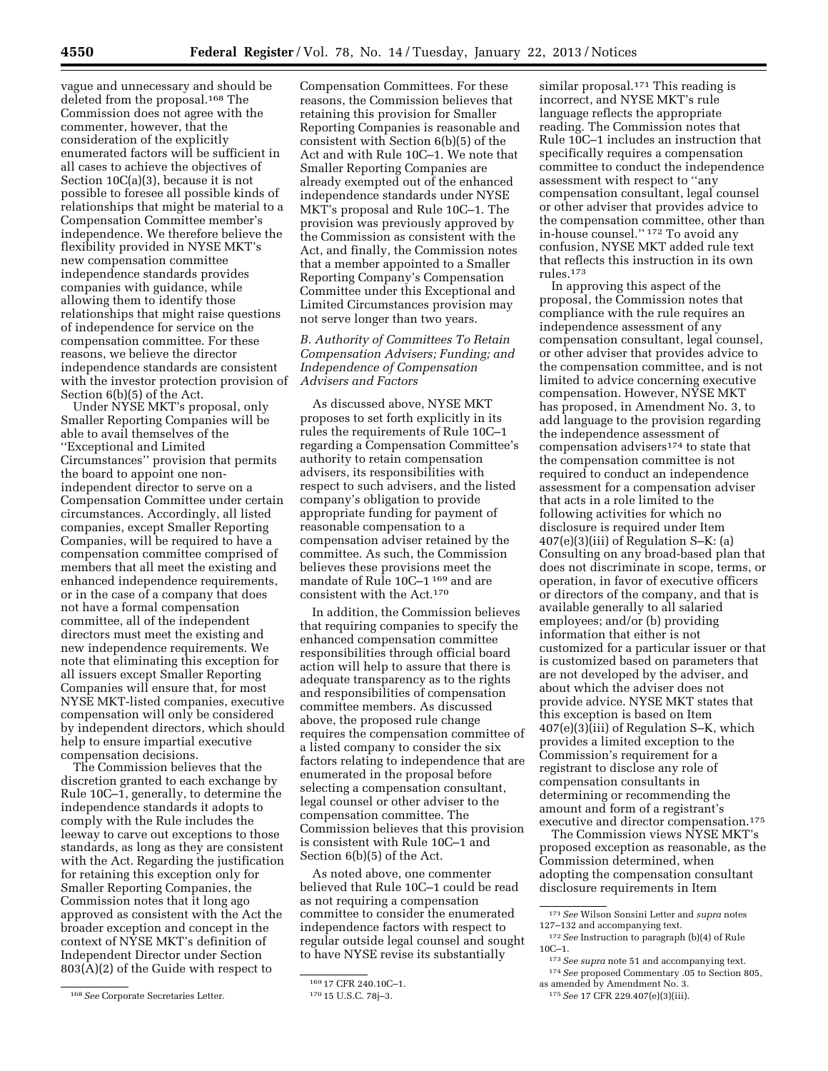vague and unnecessary and should be deleted from the proposal.168 The Commission does not agree with the commenter, however, that the consideration of the explicitly enumerated factors will be sufficient in all cases to achieve the objectives of Section 10C(a)(3), because it is not possible to foresee all possible kinds of relationships that might be material to a Compensation Committee member's independence. We therefore believe the flexibility provided in NYSE MKT's new compensation committee independence standards provides companies with guidance, while allowing them to identify those relationships that might raise questions of independence for service on the compensation committee. For these reasons, we believe the director independence standards are consistent with the investor protection provision of Section 6(b)(5) of the Act.

Under NYSE MKT's proposal, only Smaller Reporting Companies will be able to avail themselves of the ''Exceptional and Limited Circumstances'' provision that permits the board to appoint one nonindependent director to serve on a Compensation Committee under certain circumstances. Accordingly, all listed companies, except Smaller Reporting Companies, will be required to have a compensation committee comprised of members that all meet the existing and enhanced independence requirements, or in the case of a company that does not have a formal compensation committee, all of the independent directors must meet the existing and new independence requirements. We note that eliminating this exception for all issuers except Smaller Reporting Companies will ensure that, for most NYSE MKT-listed companies, executive compensation will only be considered by independent directors, which should help to ensure impartial executive compensation decisions.

The Commission believes that the discretion granted to each exchange by Rule 10C–1, generally, to determine the independence standards it adopts to comply with the Rule includes the leeway to carve out exceptions to those standards, as long as they are consistent with the Act. Regarding the justification for retaining this exception only for Smaller Reporting Companies, the Commission notes that it long ago approved as consistent with the Act the broader exception and concept in the context of NYSE MKT's definition of Independent Director under Section 803(A)(2) of the Guide with respect to

Compensation Committees. For these reasons, the Commission believes that retaining this provision for Smaller Reporting Companies is reasonable and consistent with Section 6(b)(5) of the Act and with Rule 10C–1. We note that Smaller Reporting Companies are already exempted out of the enhanced independence standards under NYSE MKT's proposal and Rule 10C–1. The provision was previously approved by the Commission as consistent with the Act, and finally, the Commission notes that a member appointed to a Smaller Reporting Company's Compensation Committee under this Exceptional and Limited Circumstances provision may not serve longer than two years.

# *B. Authority of Committees To Retain Compensation Advisers; Funding; and Independence of Compensation Advisers and Factors*

As discussed above, NYSE MKT proposes to set forth explicitly in its rules the requirements of Rule 10C–1 regarding a Compensation Committee's authority to retain compensation advisers, its responsibilities with respect to such advisers, and the listed company's obligation to provide appropriate funding for payment of reasonable compensation to a compensation adviser retained by the committee. As such, the Commission believes these provisions meet the mandate of Rule 10C–1 169 and are consistent with the Act.170

In addition, the Commission believes that requiring companies to specify the enhanced compensation committee responsibilities through official board action will help to assure that there is adequate transparency as to the rights and responsibilities of compensation committee members. As discussed above, the proposed rule change requires the compensation committee of a listed company to consider the six factors relating to independence that are enumerated in the proposal before selecting a compensation consultant, legal counsel or other adviser to the compensation committee. The Commission believes that this provision is consistent with Rule 10C–1 and Section 6(b)(5) of the Act.

As noted above, one commenter believed that Rule 10C–1 could be read as not requiring a compensation committee to consider the enumerated independence factors with respect to regular outside legal counsel and sought to have NYSE revise its substantially

similar proposal.<sup>171</sup> This reading is incorrect, and NYSE MKT's rule language reflects the appropriate reading. The Commission notes that Rule 10C–1 includes an instruction that specifically requires a compensation committee to conduct the independence assessment with respect to ''any compensation consultant, legal counsel or other adviser that provides advice to the compensation committee, other than in-house counsel.'' 172 To avoid any confusion, NYSE MKT added rule text that reflects this instruction in its own rules.173

In approving this aspect of the proposal, the Commission notes that compliance with the rule requires an independence assessment of any compensation consultant, legal counsel, or other adviser that provides advice to the compensation committee, and is not limited to advice concerning executive compensation. However, NYSE MKT has proposed, in Amendment No. 3, to add language to the provision regarding the independence assessment of compensation advisers<sup>174</sup> to state that the compensation committee is not required to conduct an independence assessment for a compensation adviser that acts in a role limited to the following activities for which no disclosure is required under Item 407(e)(3)(iii) of Regulation S–K: (a) Consulting on any broad-based plan that does not discriminate in scope, terms, or operation, in favor of executive officers or directors of the company, and that is available generally to all salaried employees; and/or (b) providing information that either is not customized for a particular issuer or that is customized based on parameters that are not developed by the adviser, and about which the adviser does not provide advice. NYSE MKT states that this exception is based on Item 407(e)(3)(iii) of Regulation S–K, which provides a limited exception to the Commission's requirement for a registrant to disclose any role of compensation consultants in determining or recommending the amount and form of a registrant's executive and director compensation.175

The Commission views NYSE MKT's proposed exception as reasonable, as the Commission determined, when adopting the compensation consultant disclosure requirements in Item

<sup>168</sup>*See* Corporate Secretaries Letter.

<sup>169</sup> 17 CFR 240.10C–1.

<sup>170</sup> 15 U.S.C. 78j–3.

<sup>171</sup>*See* Wilson Sonsini Letter and *supra* notes 127–132 and accompanying text.

<sup>172</sup>*See* Instruction to paragraph (b)(4) of Rule 10C–1.

<sup>173</sup>*See supra* note 51 and accompanying text.

<sup>174</sup>*See* proposed Commentary .05 to Section 805,

as amended by Amendment No. 3.

<sup>175</sup>*See* 17 CFR 229.407(e)(3)(iii).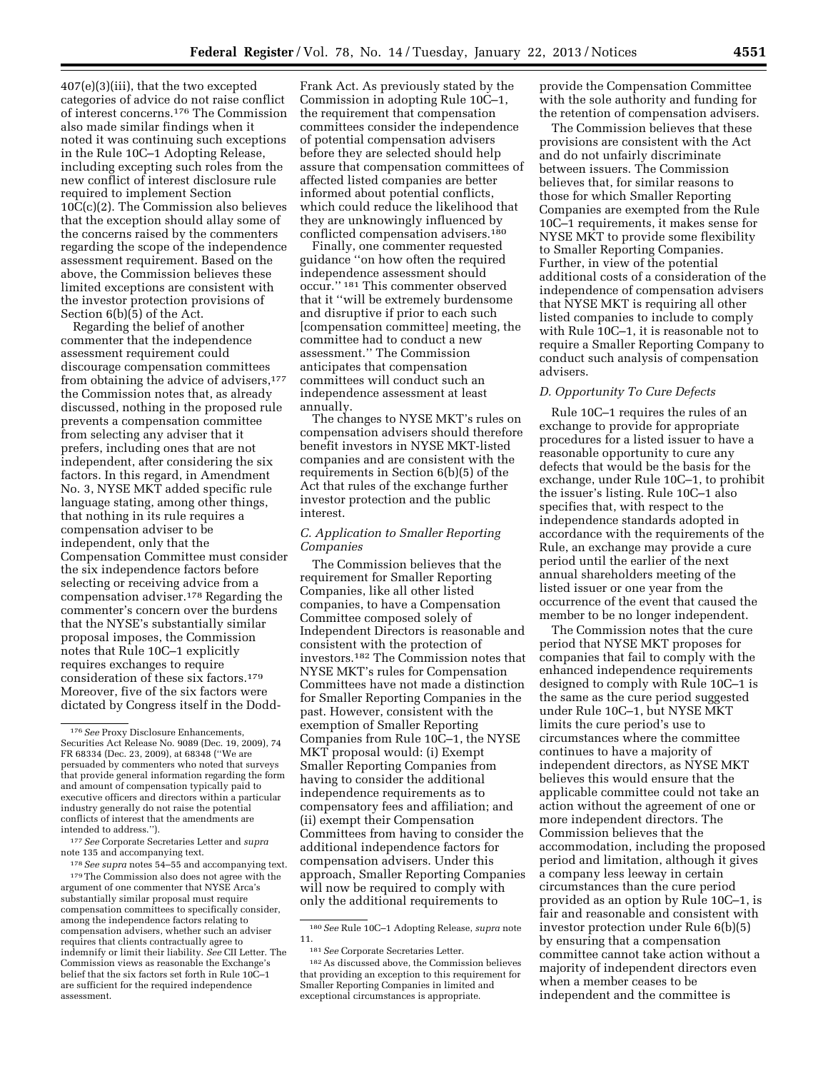407(e)(3)(iii), that the two excepted categories of advice do not raise conflict of interest concerns.176 The Commission also made similar findings when it noted it was continuing such exceptions in the Rule 10C–1 Adopting Release, including excepting such roles from the new conflict of interest disclosure rule required to implement Section 10C(c)(2). The Commission also believes that the exception should allay some of the concerns raised by the commenters regarding the scope of the independence assessment requirement. Based on the above, the Commission believes these limited exceptions are consistent with the investor protection provisions of Section 6(b)(5) of the Act.

Regarding the belief of another commenter that the independence assessment requirement could discourage compensation committees from obtaining the advice of advisers,<sup>177</sup> the Commission notes that, as already discussed, nothing in the proposed rule prevents a compensation committee from selecting any adviser that it prefers, including ones that are not independent, after considering the six factors. In this regard, in Amendment No. 3, NYSE MKT added specific rule language stating, among other things, that nothing in its rule requires a compensation adviser to be independent, only that the Compensation Committee must consider the six independence factors before selecting or receiving advice from a compensation adviser.178 Regarding the commenter's concern over the burdens that the NYSE's substantially similar proposal imposes, the Commission notes that Rule 10C–1 explicitly requires exchanges to require consideration of these six factors.179 Moreover, five of the six factors were dictated by Congress itself in the Dodd-

177*See* Corporate Secretaries Letter and *supra*  note 135 and accompanying text.

178*See supra* notes 54–55 and accompanying text. 179The Commission also does not agree with the argument of one commenter that NYSE Arca's substantially similar proposal must require compensation committees to specifically consider, among the independence factors relating to compensation advisers, whether such an adviser requires that clients contractually agree to indemnify or limit their liability. *See* CII Letter. The Commission views as reasonable the Exchange's belief that the six factors set forth in Rule 10C–1 are sufficient for the required independence assessment.

Frank Act. As previously stated by the Commission in adopting Rule 10C–1, the requirement that compensation committees consider the independence of potential compensation advisers before they are selected should help assure that compensation committees of affected listed companies are better informed about potential conflicts, which could reduce the likelihood that they are unknowingly influenced by conflicted compensation advisers.<sup>180</sup>

Finally, one commenter requested guidance ''on how often the required independence assessment should occur.'' 181 This commenter observed that it ''will be extremely burdensome and disruptive if prior to each such [compensation committee] meeting, the committee had to conduct a new assessment.'' The Commission anticipates that compensation committees will conduct such an independence assessment at least annually.

The changes to NYSE MKT's rules on compensation advisers should therefore benefit investors in NYSE MKT-listed companies and are consistent with the requirements in Section 6(b)(5) of the Act that rules of the exchange further investor protection and the public interest.

## *C. Application to Smaller Reporting Companies*

The Commission believes that the requirement for Smaller Reporting Companies, like all other listed companies, to have a Compensation Committee composed solely of Independent Directors is reasonable and consistent with the protection of investors.182 The Commission notes that NYSE MKT's rules for Compensation Committees have not made a distinction for Smaller Reporting Companies in the past. However, consistent with the exemption of Smaller Reporting Companies from Rule 10C–1, the NYSE MKT proposal would: (i) Exempt Smaller Reporting Companies from having to consider the additional independence requirements as to compensatory fees and affiliation; and (ii) exempt their Compensation Committees from having to consider the additional independence factors for compensation advisers. Under this approach, Smaller Reporting Companies will now be required to comply with only the additional requirements to

provide the Compensation Committee with the sole authority and funding for the retention of compensation advisers.

The Commission believes that these provisions are consistent with the Act and do not unfairly discriminate between issuers. The Commission believes that, for similar reasons to those for which Smaller Reporting Companies are exempted from the Rule 10C–1 requirements, it makes sense for NYSE MKT to provide some flexibility to Smaller Reporting Companies. Further, in view of the potential additional costs of a consideration of the independence of compensation advisers that NYSE MKT is requiring all other listed companies to include to comply with Rule 10C–1, it is reasonable not to require a Smaller Reporting Company to conduct such analysis of compensation advisers.

## *D. Opportunity To Cure Defects*

Rule 10C–1 requires the rules of an exchange to provide for appropriate procedures for a listed issuer to have a reasonable opportunity to cure any defects that would be the basis for the exchange, under Rule 10C–1, to prohibit the issuer's listing. Rule 10C–1 also specifies that, with respect to the independence standards adopted in accordance with the requirements of the Rule, an exchange may provide a cure period until the earlier of the next annual shareholders meeting of the listed issuer or one year from the occurrence of the event that caused the member to be no longer independent.

The Commission notes that the cure period that NYSE MKT proposes for companies that fail to comply with the enhanced independence requirements designed to comply with Rule 10C–1 is the same as the cure period suggested under Rule 10C–1, but NYSE MKT limits the cure period's use to circumstances where the committee continues to have a majority of independent directors, as NYSE MKT believes this would ensure that the applicable committee could not take an action without the agreement of one or more independent directors. The Commission believes that the accommodation, including the proposed period and limitation, although it gives a company less leeway in certain circumstances than the cure period provided as an option by Rule 10C–1, is fair and reasonable and consistent with investor protection under Rule 6(b)(5) by ensuring that a compensation committee cannot take action without a majority of independent directors even when a member ceases to be independent and the committee is

<sup>176</sup>*See* Proxy Disclosure Enhancements, Securities Act Release No. 9089 (Dec. 19, 2009), 74 FR 68334 (Dec. 23, 2009), at 68348 (''We are persuaded by commenters who noted that surveys that provide general information regarding the form and amount of compensation typically paid to executive officers and directors within a particular industry generally do not raise the potential conflicts of interest that the amendments are intended to address.'').

<sup>180</sup>*See* Rule 10C–1 Adopting Release, *supra* note 11.

<sup>181</sup>*See* Corporate Secretaries Letter.

<sup>182</sup>As discussed above, the Commission believes that providing an exception to this requirement for Smaller Reporting Companies in limited and exceptional circumstances is appropriate.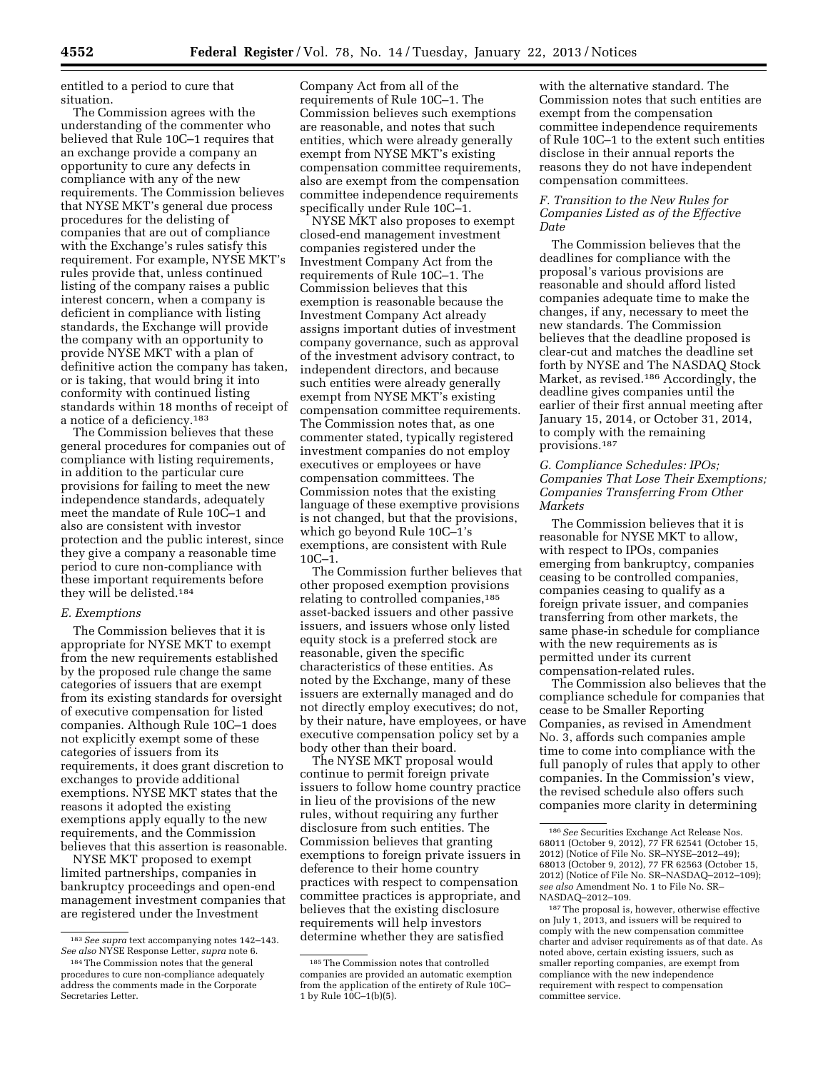entitled to a period to cure that situation.

The Commission agrees with the understanding of the commenter who believed that Rule 10C–1 requires that an exchange provide a company an opportunity to cure any defects in compliance with any of the new requirements. The Commission believes that NYSE MKT's general due process procedures for the delisting of companies that are out of compliance with the Exchange's rules satisfy this requirement. For example, NYSE MKT's rules provide that, unless continued listing of the company raises a public interest concern, when a company is deficient in compliance with listing standards, the Exchange will provide the company with an opportunity to provide NYSE MKT with a plan of definitive action the company has taken, or is taking, that would bring it into conformity with continued listing standards within 18 months of receipt of a notice of a deficiency.183

The Commission believes that these general procedures for companies out of compliance with listing requirements, in addition to the particular cure provisions for failing to meet the new independence standards, adequately meet the mandate of Rule 10C–1 and also are consistent with investor protection and the public interest, since they give a company a reasonable time period to cure non-compliance with these important requirements before they will be delisted.184

## *E. Exemptions*

The Commission believes that it is appropriate for NYSE MKT to exempt from the new requirements established by the proposed rule change the same categories of issuers that are exempt from its existing standards for oversight of executive compensation for listed companies. Although Rule 10C–1 does not explicitly exempt some of these categories of issuers from its requirements, it does grant discretion to exchanges to provide additional exemptions. NYSE MKT states that the reasons it adopted the existing exemptions apply equally to the new requirements, and the Commission believes that this assertion is reasonable.

NYSE MKT proposed to exempt limited partnerships, companies in bankruptcy proceedings and open-end management investment companies that are registered under the Investment

Company Act from all of the requirements of Rule 10C–1. The Commission believes such exemptions are reasonable, and notes that such entities, which were already generally exempt from NYSE MKT's existing compensation committee requirements, also are exempt from the compensation committee independence requirements specifically under Rule 10C–1.

NYSE MKT also proposes to exempt closed-end management investment companies registered under the Investment Company Act from the requirements of Rule 10C–1. The Commission believes that this exemption is reasonable because the Investment Company Act already assigns important duties of investment company governance, such as approval of the investment advisory contract, to independent directors, and because such entities were already generally exempt from NYSE MKT's existing compensation committee requirements. The Commission notes that, as one commenter stated, typically registered investment companies do not employ executives or employees or have compensation committees. The Commission notes that the existing language of these exemptive provisions is not changed, but that the provisions, which go beyond Rule 10C–1's exemptions, are consistent with Rule 10C–1.

The Commission further believes that other proposed exemption provisions relating to controlled companies,185 asset-backed issuers and other passive issuers, and issuers whose only listed equity stock is a preferred stock are reasonable, given the specific characteristics of these entities. As noted by the Exchange, many of these issuers are externally managed and do not directly employ executives; do not, by their nature, have employees, or have executive compensation policy set by a body other than their board.

The NYSE MKT proposal would continue to permit foreign private issuers to follow home country practice in lieu of the provisions of the new rules, without requiring any further disclosure from such entities. The Commission believes that granting exemptions to foreign private issuers in deference to their home country practices with respect to compensation committee practices is appropriate, and believes that the existing disclosure requirements will help investors determine whether they are satisfied

with the alternative standard. The Commission notes that such entities are exempt from the compensation committee independence requirements of Rule 10C–1 to the extent such entities disclose in their annual reports the reasons they do not have independent compensation committees.

# *F. Transition to the New Rules for Companies Listed as of the Effective Date*

The Commission believes that the deadlines for compliance with the proposal's various provisions are reasonable and should afford listed companies adequate time to make the changes, if any, necessary to meet the new standards. The Commission believes that the deadline proposed is clear-cut and matches the deadline set forth by NYSE and The NASDAQ Stock Market, as revised.186 Accordingly, the deadline gives companies until the earlier of their first annual meeting after January 15, 2014, or October 31, 2014, to comply with the remaining provisions.187

## *G. Compliance Schedules: IPOs; Companies That Lose Their Exemptions; Companies Transferring From Other Markets*

The Commission believes that it is reasonable for NYSE MKT to allow, with respect to IPOs, companies emerging from bankruptcy, companies ceasing to be controlled companies, companies ceasing to qualify as a foreign private issuer, and companies transferring from other markets, the same phase-in schedule for compliance with the new requirements as is permitted under its current compensation-related rules.

The Commission also believes that the compliance schedule for companies that cease to be Smaller Reporting Companies, as revised in Amendment No. 3, affords such companies ample time to come into compliance with the full panoply of rules that apply to other companies. In the Commission's view, the revised schedule also offers such companies more clarity in determining

<sup>183</sup>*See supra* text accompanying notes 142–143. *See also* NYSE Response Letter, *supra* note 6. 184The Commission notes that the general

procedures to cure non-compliance adequately address the comments made in the Corporate Secretaries Letter.

<sup>185</sup>The Commission notes that controlled companies are provided an automatic exemption from the application of the entirety of Rule 10C– 1 by Rule  $10C-1(b)(5)$ .

<sup>186</sup>*See* Securities Exchange Act Release Nos. 68011 (October 9, 2012), 77 FR 62541 (October 15, 2012) (Notice of File No. SR–NYSE–2012–49); 68013 (October 9, 2012), 77 FR 62563 (October 15, 2012) (Notice of File No. SR–NASDAQ–2012–109); *see also* Amendment No. 1 to File No. SR– NASDAQ–2012–109.

<sup>187</sup>The proposal is, however, otherwise effective on July 1, 2013, and issuers will be required to comply with the new compensation committee charter and adviser requirements as of that date. As noted above, certain existing issuers, such as smaller reporting companies, are exempt from compliance with the new independence requirement with respect to compensation committee service.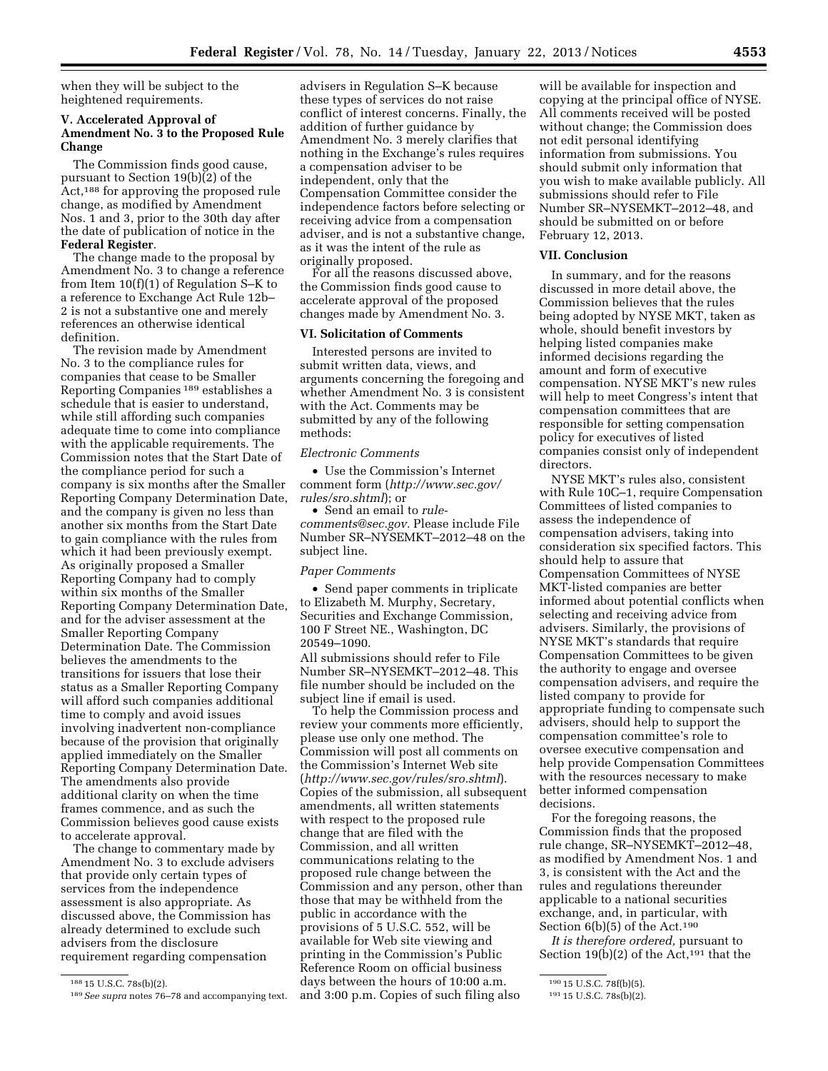when they will be subject to the heightened requirements.

# **V. Accelerated Approval of Amendment No. 3 to the Proposed Rule Change**

The Commission finds good cause, pursuant to Section  $19(b)(2)$  of the Act,188 for approving the proposed rule change, as modified by Amendment Nos. 1 and 3, prior to the 30th day after the date of publication of notice in the **Federal Register**.

The change made to the proposal by Amendment No. 3 to change a reference from Item 10(f)(1) of Regulation S–K to a reference to Exchange Act Rule 12b– 2 is not a substantive one and merely references an otherwise identical definition.

The revision made by Amendment No. 3 to the compliance rules for companies that cease to be Smaller Reporting Companies 189 establishes a schedule that is easier to understand, while still affording such companies adequate time to come into compliance with the applicable requirements. The Commission notes that the Start Date of the compliance period for such a company is six months after the Smaller Reporting Company Determination Date, and the company is given no less than another six months from the Start Date to gain compliance with the rules from which it had been previously exempt. As originally proposed a Smaller Reporting Company had to comply within six months of the Smaller Reporting Company Determination Date, and for the adviser assessment at the Smaller Reporting Company Determination Date. The Commission believes the amendments to the transitions for issuers that lose their status as a Smaller Reporting Company will afford such companies additional time to comply and avoid issues involving inadvertent non-compliance because of the provision that originally applied immediately on the Smaller Reporting Company Determination Date. The amendments also provide additional clarity on when the time frames commence, and as such the Commission believes good cause exists to accelerate approval.

The change to commentary made by Amendment No. 3 to exclude advisers that provide only certain types of services from the independence assessment is also appropriate. As discussed above, the Commission has already determined to exclude such advisers from the disclosure requirement regarding compensation

188 15 U.S.C. 78s(b)(2).

advisers in Regulation S–K because these types of services do not raise conflict of interest concerns. Finally, the addition of further guidance by Amendment No. 3 merely clarifies that nothing in the Exchange's rules requires a compensation adviser to be independent, only that the Compensation Committee consider the independence factors before selecting or receiving advice from a compensation adviser, and is not a substantive change, as it was the intent of the rule as originally proposed.

For all the reasons discussed above, the Commission finds good cause to accelerate approval of the proposed changes made by Amendment No. 3.

#### **VI. Solicitation of Comments**

Interested persons are invited to submit written data, views, and arguments concerning the foregoing and whether Amendment No. 3 is consistent with the Act. Comments may be submitted by any of the following methods:

#### *Electronic Comments*

• Use the Commission's Internet comment form (*[http://www.sec.gov/](http://www.sec.gov/rules/sro.shtml)  [rules/sro.shtml](http://www.sec.gov/rules/sro.shtml)*); or

• Send an email to *[rule](mailto:rule-comments@sec.gov)[comments@sec.gov.](mailto:rule-comments@sec.gov)* Please include File Number SR–NYSEMKT–2012–48 on the subject line.

#### *Paper Comments*

• Send paper comments in triplicate to Elizabeth M. Murphy, Secretary, Securities and Exchange Commission, 100 F Street NE., Washington, DC 20549–1090.

All submissions should refer to File Number SR–NYSEMKT–2012–48. This file number should be included on the subject line if email is used.

To help the Commission process and review your comments more efficiently, please use only one method. The Commission will post all comments on the Commission's Internet Web site (*<http://www.sec.gov/rules/sro.shtml>*). Copies of the submission, all subsequent amendments, all written statements with respect to the proposed rule change that are filed with the Commission, and all written communications relating to the proposed rule change between the Commission and any person, other than those that may be withheld from the public in accordance with the provisions of 5 U.S.C. 552, will be available for Web site viewing and printing in the Commission's Public Reference Room on official business days between the hours of 10:00 a.m. and 3:00 p.m. Copies of such filing also

will be available for inspection and copying at the principal office of NYSE. All comments received will be posted without change; the Commission does not edit personal identifying information from submissions. You should submit only information that you wish to make available publicly. All submissions should refer to File Number SR–NYSEMKT–2012–48, and should be submitted on or before February 12, 2013.

#### **VII. Conclusion**

In summary, and for the reasons discussed in more detail above, the Commission believes that the rules being adopted by NYSE MKT, taken as whole, should benefit investors by helping listed companies make informed decisions regarding the amount and form of executive compensation. NYSE MKT's new rules will help to meet Congress's intent that compensation committees that are responsible for setting compensation policy for executives of listed companies consist only of independent directors.

NYSE MKT's rules also, consistent with Rule 10C–1, require Compensation Committees of listed companies to assess the independence of compensation advisers, taking into consideration six specified factors. This should help to assure that Compensation Committees of NYSE MKT-listed companies are better informed about potential conflicts when selecting and receiving advice from advisers. Similarly, the provisions of NYSE MKT's standards that require Compensation Committees to be given the authority to engage and oversee compensation advisers, and require the listed company to provide for appropriate funding to compensate such advisers, should help to support the compensation committee's role to oversee executive compensation and help provide Compensation Committees with the resources necessary to make better informed compensation decisions.

For the foregoing reasons, the Commission finds that the proposed rule change, SR–NYSEMKT–2012–48, as modified by Amendment Nos. 1 and 3, is consistent with the Act and the rules and regulations thereunder applicable to a national securities exchange, and, in particular, with Section 6(b)(5) of the Act.190

*It is therefore ordered,* pursuant to Section 19(b)(2) of the Act,<sup>191</sup> that the

<sup>189</sup>*See supra* notes 76–78 and accompanying text.

<sup>190</sup> 15 U.S.C. 78f(b)(5).

<sup>191</sup> 15 U.S.C. 78s(b)(2).